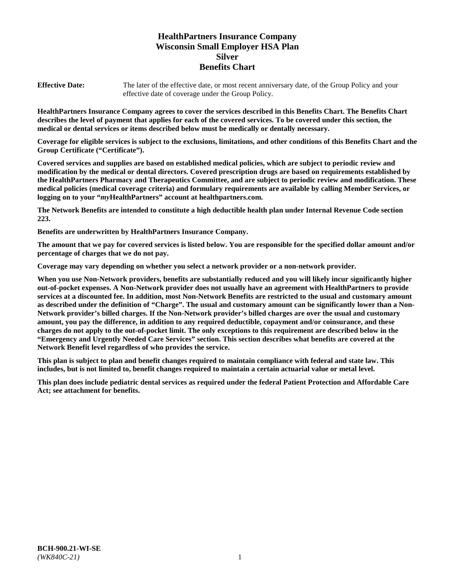# **HealthPartners Insurance Company Wisconsin Small Employer HSA Plan Silver Benefits Chart**

**Effective Date:** The later of the effective date, or most recent anniversary date, of the Group Policy and your effective date of coverage under the Group Policy.

**HealthPartners Insurance Company agrees to cover the services described in this Benefits Chart. The Benefits Chart describes the level of payment that applies for each of the covered services. To be covered under this section, the medical or dental services or items described below must be medically or dentally necessary.**

**Coverage for eligible services is subject to the exclusions, limitations, and other conditions of this Benefits Chart and the Group Certificate ("Certificate").**

**Covered services and supplies are based on established medical policies, which are subject to periodic review and modification by the medical or dental directors. Covered prescription drugs are based on requirements established by the HealthPartners Pharmacy and Therapeutics Committee, and are subject to periodic review and modification. These medical policies (medical coverage criteria) and formulary requirements are available by calling Member Services, or logging on to your "***my***HealthPartners" account at [healthpartners.com.](https://www.healthpartners.com/hp/index.html)**

**The Network Benefits are intended to constitute a high deductible health plan under Internal Revenue Code section 223.**

**Benefits are underwritten by HealthPartners Insurance Company.**

**The amount that we pay for covered services is listed below. You are responsible for the specified dollar amount and/or percentage of charges that we do not pay.**

**Coverage may vary depending on whether you select a network provider or a non-network provider.**

**When you use Non-Network providers, benefits are substantially reduced and you will likely incur significantly higher out-of-pocket expenses. A Non-Network provider does not usually have an agreement with HealthPartners to provide services at a discounted fee. In addition, most Non-Network Benefits are restricted to the usual and customary amount as described under the definition of "Charge". The usual and customary amount can be significantly lower than a Non-Network provider's billed charges. If the Non-Network provider's billed charges are over the usual and customary amount, you pay the difference, in addition to any required deductible, copayment and/or coinsurance, and these charges do not apply to the out-of-pocket limit. The only exceptions to this requirement are described below in the "Emergency and Urgently Needed Care Services" section. This section describes what benefits are covered at the Network Benefit level regardless of who provides the service.**

**This plan is subject to plan and benefit changes required to maintain compliance with federal and state law. This includes, but is not limited to, benefit changes required to maintain a certain actuarial value or metal level.**

**This plan does include pediatric dental services as required under the federal Patient Protection and Affordable Care Act; see attachment for benefits.**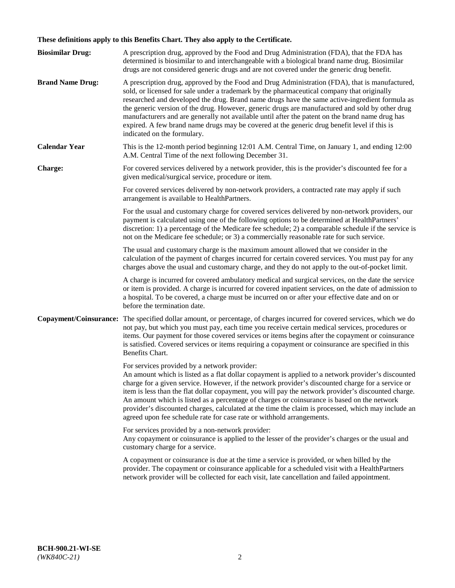# **These definitions apply to this Benefits Chart. They also apply to the Certificate.**

| <b>Biosimilar Drug:</b> | A prescription drug, approved by the Food and Drug Administration (FDA), that the FDA has<br>determined is biosimilar to and interchangeable with a biological brand name drug. Biosimilar<br>drugs are not considered generic drugs and are not covered under the generic drug benefit.                                                                                                                                                                                                                                                                                                                                                     |
|-------------------------|----------------------------------------------------------------------------------------------------------------------------------------------------------------------------------------------------------------------------------------------------------------------------------------------------------------------------------------------------------------------------------------------------------------------------------------------------------------------------------------------------------------------------------------------------------------------------------------------------------------------------------------------|
| <b>Brand Name Drug:</b> | A prescription drug, approved by the Food and Drug Administration (FDA), that is manufactured,<br>sold, or licensed for sale under a trademark by the pharmaceutical company that originally<br>researched and developed the drug. Brand name drugs have the same active-ingredient formula as<br>the generic version of the drug. However, generic drugs are manufactured and sold by other drug<br>manufacturers and are generally not available until after the patent on the brand name drug has<br>expired. A few brand name drugs may be covered at the generic drug benefit level if this is<br>indicated on the formulary.           |
| <b>Calendar Year</b>    | This is the 12-month period beginning 12:01 A.M. Central Time, on January 1, and ending 12:00<br>A.M. Central Time of the next following December 31.                                                                                                                                                                                                                                                                                                                                                                                                                                                                                        |
| <b>Charge:</b>          | For covered services delivered by a network provider, this is the provider's discounted fee for a<br>given medical/surgical service, procedure or item.                                                                                                                                                                                                                                                                                                                                                                                                                                                                                      |
|                         | For covered services delivered by non-network providers, a contracted rate may apply if such<br>arrangement is available to HealthPartners.                                                                                                                                                                                                                                                                                                                                                                                                                                                                                                  |
|                         | For the usual and customary charge for covered services delivered by non-network providers, our<br>payment is calculated using one of the following options to be determined at HealthPartners'<br>discretion: 1) a percentage of the Medicare fee schedule; 2) a comparable schedule if the service is<br>not on the Medicare fee schedule; or 3) a commercially reasonable rate for such service.                                                                                                                                                                                                                                          |
|                         | The usual and customary charge is the maximum amount allowed that we consider in the<br>calculation of the payment of charges incurred for certain covered services. You must pay for any<br>charges above the usual and customary charge, and they do not apply to the out-of-pocket limit.                                                                                                                                                                                                                                                                                                                                                 |
|                         | A charge is incurred for covered ambulatory medical and surgical services, on the date the service<br>or item is provided. A charge is incurred for covered inpatient services, on the date of admission to<br>a hospital. To be covered, a charge must be incurred on or after your effective date and on or<br>before the termination date.                                                                                                                                                                                                                                                                                                |
| Copayment/Coinsurance:  | The specified dollar amount, or percentage, of charges incurred for covered services, which we do<br>not pay, but which you must pay, each time you receive certain medical services, procedures or<br>items. Our payment for those covered services or items begins after the copayment or coinsurance<br>is satisfied. Covered services or items requiring a copayment or coinsurance are specified in this<br>Benefits Chart.                                                                                                                                                                                                             |
|                         | For services provided by a network provider:<br>An amount which is listed as a flat dollar copayment is applied to a network provider's discounted<br>charge for a given service. However, if the network provider's discounted charge for a service or<br>item is less than the flat dollar copayment, you will pay the network provider's discounted charge.<br>An amount which is listed as a percentage of charges or coinsurance is based on the network<br>provider's discounted charges, calculated at the time the claim is processed, which may include an<br>agreed upon fee schedule rate for case rate or withhold arrangements. |
|                         | For services provided by a non-network provider:<br>Any copayment or coinsurance is applied to the lesser of the provider's charges or the usual and<br>customary charge for a service.                                                                                                                                                                                                                                                                                                                                                                                                                                                      |
|                         | A copayment or coinsurance is due at the time a service is provided, or when billed by the<br>provider. The copayment or coinsurance applicable for a scheduled visit with a HealthPartners<br>network provider will be collected for each visit, late cancellation and failed appointment.                                                                                                                                                                                                                                                                                                                                                  |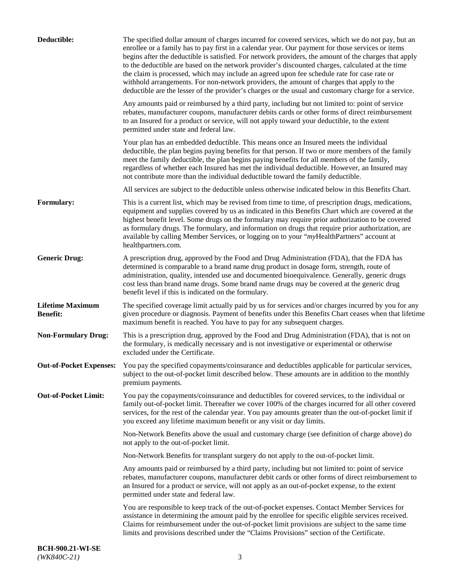| Deductible:                                | The specified dollar amount of charges incurred for covered services, which we do not pay, but an<br>enrollee or a family has to pay first in a calendar year. Our payment for those services or items<br>begins after the deductible is satisfied. For network providers, the amount of the charges that apply<br>to the deductible are based on the network provider's discounted charges, calculated at the time<br>the claim is processed, which may include an agreed upon fee schedule rate for case rate or<br>withhold arrangements. For non-network providers, the amount of charges that apply to the<br>deductible are the lesser of the provider's charges or the usual and customary charge for a service. |
|--------------------------------------------|-------------------------------------------------------------------------------------------------------------------------------------------------------------------------------------------------------------------------------------------------------------------------------------------------------------------------------------------------------------------------------------------------------------------------------------------------------------------------------------------------------------------------------------------------------------------------------------------------------------------------------------------------------------------------------------------------------------------------|
|                                            | Any amounts paid or reimbursed by a third party, including but not limited to: point of service<br>rebates, manufacturer coupons, manufacturer debits cards or other forms of direct reimbursement<br>to an Insured for a product or service, will not apply toward your deductible, to the extent<br>permitted under state and federal law.                                                                                                                                                                                                                                                                                                                                                                            |
|                                            | Your plan has an embedded deductible. This means once an Insured meets the individual<br>deductible, the plan begins paying benefits for that person. If two or more members of the family<br>meet the family deductible, the plan begins paying benefits for all members of the family,<br>regardless of whether each Insured has met the individual deductible. However, an Insured may<br>not contribute more than the individual deductible toward the family deductible.                                                                                                                                                                                                                                           |
|                                            | All services are subject to the deductible unless otherwise indicated below in this Benefits Chart.                                                                                                                                                                                                                                                                                                                                                                                                                                                                                                                                                                                                                     |
| Formulary:                                 | This is a current list, which may be revised from time to time, of prescription drugs, medications,<br>equipment and supplies covered by us as indicated in this Benefits Chart which are covered at the<br>highest benefit level. Some drugs on the formulary may require prior authorization to be covered<br>as formulary drugs. The formulary, and information on drugs that require prior authorization, are<br>available by calling Member Services, or logging on to your "myHealthPartners" account at<br>healthpartners.com.                                                                                                                                                                                   |
| <b>Generic Drug:</b>                       | A prescription drug, approved by the Food and Drug Administration (FDA), that the FDA has<br>determined is comparable to a brand name drug product in dosage form, strength, route of<br>administration, quality, intended use and documented bioequivalence. Generally, generic drugs<br>cost less than brand name drugs. Some brand name drugs may be covered at the generic drug<br>benefit level if this is indicated on the formulary.                                                                                                                                                                                                                                                                             |
| <b>Lifetime Maximum</b><br><b>Benefit:</b> | The specified coverage limit actually paid by us for services and/or charges incurred by you for any<br>given procedure or diagnosis. Payment of benefits under this Benefits Chart ceases when that lifetime<br>maximum benefit is reached. You have to pay for any subsequent charges.                                                                                                                                                                                                                                                                                                                                                                                                                                |
| <b>Non-Formulary Drug:</b>                 | This is a prescription drug, approved by the Food and Drug Administration (FDA), that is not on<br>the formulary, is medically necessary and is not investigative or experimental or otherwise<br>excluded under the Certificate.                                                                                                                                                                                                                                                                                                                                                                                                                                                                                       |
|                                            | Out-of-Pocket Expenses: You pay the specified copayments/coinsurance and deductibles applicable for particular services,<br>subject to the out-of-pocket limit described below. These amounts are in addition to the monthly<br>premium payments.                                                                                                                                                                                                                                                                                                                                                                                                                                                                       |
| <b>Out-of-Pocket Limit:</b>                | You pay the copayments/coinsurance and deductibles for covered services, to the individual or<br>family out-of-pocket limit. Thereafter we cover 100% of the charges incurred for all other covered<br>services, for the rest of the calendar year. You pay amounts greater than the out-of-pocket limit if<br>you exceed any lifetime maximum benefit or any visit or day limits.                                                                                                                                                                                                                                                                                                                                      |
|                                            | Non-Network Benefits above the usual and customary charge (see definition of charge above) do<br>not apply to the out-of-pocket limit.                                                                                                                                                                                                                                                                                                                                                                                                                                                                                                                                                                                  |
|                                            | Non-Network Benefits for transplant surgery do not apply to the out-of-pocket limit.                                                                                                                                                                                                                                                                                                                                                                                                                                                                                                                                                                                                                                    |
|                                            | Any amounts paid or reimbursed by a third party, including but not limited to: point of service<br>rebates, manufacturer coupons, manufacturer debit cards or other forms of direct reimbursement to<br>an Insured for a product or service, will not apply as an out-of-pocket expense, to the extent<br>permitted under state and federal law.                                                                                                                                                                                                                                                                                                                                                                        |
|                                            | You are responsible to keep track of the out-of-pocket expenses. Contact Member Services for<br>assistance in determining the amount paid by the enrollee for specific eligible services received.<br>Claims for reimbursement under the out-of-pocket limit provisions are subject to the same time<br>limits and provisions described under the "Claims Provisions" section of the Certificate.                                                                                                                                                                                                                                                                                                                       |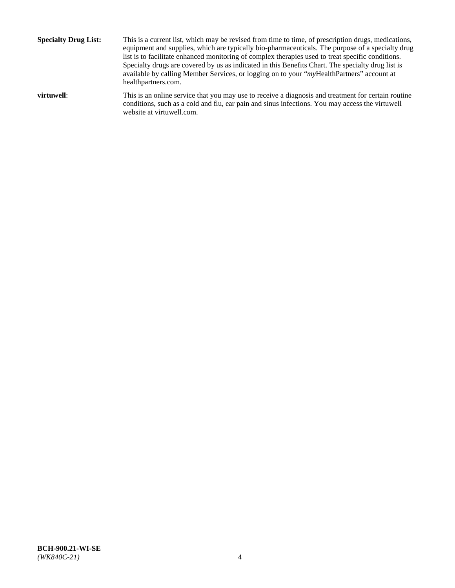**Specialty Drug List:** This is a current list, which may be revised from time to time, of prescription drugs, medications, equipment and supplies, which are typically bio-pharmaceuticals. The purpose of a specialty drug list is to facilitate enhanced monitoring of complex therapies used to treat specific conditions. Specialty drugs are covered by us as indicated in this Benefits Chart. The specialty drug list is available by calling Member Services, or logging on to your "*my*HealthPartners" account at [healthpartners.com.](http://www.healthpartners.com/) **virtuwell:** This is an online service that you may use to receive a diagnosis and treatment for certain routine conditions, such as a cold and flu, ear pain and sinus infections. You may access the virtuwell

website at [virtuwell.com.](http://www.virtuwell.com/)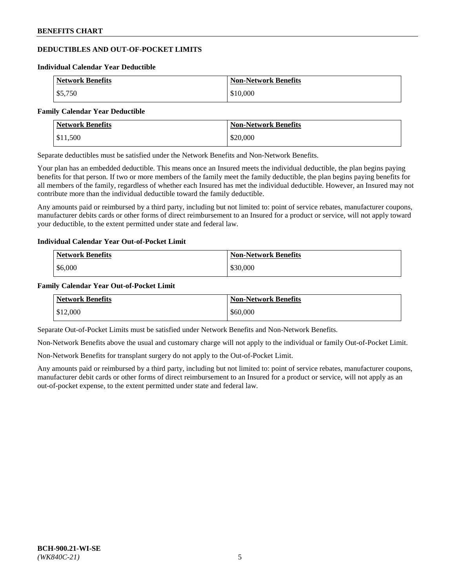## **DEDUCTIBLES AND OUT-OF-POCKET LIMITS**

#### **Individual Calendar Year Deductible**

| <b>Network Benefits</b> | <b>Non-Network Benefits</b> |
|-------------------------|-----------------------------|
| \$5,750                 | \$10,000                    |

#### **Family Calendar Year Deductible**

| <b>Network Benefits</b> | <b>Non-Network Benefits</b> |
|-------------------------|-----------------------------|
| \$11,500                | \$20,000                    |

Separate deductibles must be satisfied under the Network Benefits and Non-Network Benefits.

Your plan has an embedded deductible. This means once an Insured meets the individual deductible, the plan begins paying benefits for that person. If two or more members of the family meet the family deductible, the plan begins paying benefits for all members of the family, regardless of whether each Insured has met the individual deductible. However, an Insured may not contribute more than the individual deductible toward the family deductible.

Any amounts paid or reimbursed by a third party, including but not limited to: point of service rebates, manufacturer coupons, manufacturer debits cards or other forms of direct reimbursement to an Insured for a product or service, will not apply toward your deductible, to the extent permitted under state and federal law.

### **Individual Calendar Year Out-of-Pocket Limit**

| <b>Network Benefits</b> | <b>Non-Network Benefits</b> |
|-------------------------|-----------------------------|
| \$6,000                 | \$30,000                    |

### **Family Calendar Year Out-of-Pocket Limit**

| <b>Network Benefits</b> | <b>Non-Network Benefits</b> |
|-------------------------|-----------------------------|
| \$12,000                | \$60,000                    |

Separate Out-of-Pocket Limits must be satisfied under Network Benefits and Non-Network Benefits.

Non-Network Benefits above the usual and customary charge will not apply to the individual or family Out-of-Pocket Limit.

Non-Network Benefits for transplant surgery do not apply to the Out-of-Pocket Limit.

Any amounts paid or reimbursed by a third party, including but not limited to: point of service rebates, manufacturer coupons, manufacturer debit cards or other forms of direct reimbursement to an Insured for a product or service, will not apply as an out-of-pocket expense, to the extent permitted under state and federal law.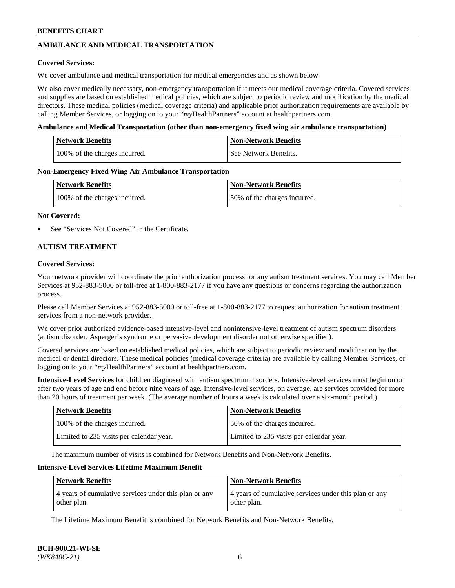## **AMBULANCE AND MEDICAL TRANSPORTATION**

### **Covered Services:**

We cover ambulance and medical transportation for medical emergencies and as shown below.

We also cover medically necessary, non-emergency transportation if it meets our medical coverage criteria. Covered services and supplies are based on established medical policies, which are subject to periodic review and modification by the medical directors. These medical policies (medical coverage criteria) and applicable prior authorization requirements are available by calling Member Services, or logging on to your "*my*HealthPartners" account a[t healthpartners.com.](https://www.healthpartners.com/hp/index.html)

### **Ambulance and Medical Transportation (other than non-emergency fixed wing air ambulance transportation)**

| <b>Network Benefits</b>       | <b>Non-Network Benefits</b> |
|-------------------------------|-----------------------------|
| 100% of the charges incurred. | See Network Benefits.       |

### **Non-Emergency Fixed Wing Air Ambulance Transportation**

| <b>Network Benefits</b>       | <b>Non-Network Benefits</b>  |
|-------------------------------|------------------------------|
| 100% of the charges incurred. | 50% of the charges incurred. |

### **Not Covered:**

See "Services Not Covered" in the Certificate.

### **AUTISM TREATMENT**

### **Covered Services:**

Your network provider will coordinate the prior authorization process for any autism treatment services. You may call Member Services at 952-883-5000 or toll-free at 1-800-883-2177 if you have any questions or concerns regarding the authorization process.

Please call Member Services at 952-883-5000 or toll-free at 1-800-883-2177 to request authorization for autism treatment services from a non-network provider.

We cover prior authorized evidence-based intensive-level and nonintensive-level treatment of autism spectrum disorders (autism disorder, Asperger's syndrome or pervasive development disorder not otherwise specified).

Covered services are based on established medical policies, which are subject to periodic review and modification by the medical or dental directors. These medical policies (medical coverage criteria) are available by calling Member Services, or logging on to your "*my*HealthPartners" account at [healthpartners.com.](https://www.healthpartners.com/hp/index.html)

**Intensive-Level Services** for children diagnosed with autism spectrum disorders. Intensive-level services must begin on or after two years of age and end before nine years of age. Intensive-level services, on average, are services provided for more than 20 hours of treatment per week. (The average number of hours a week is calculated over a six-month period.)

| <b>Network Benefits</b>                  | <b>Non-Network Benefits</b>              |
|------------------------------------------|------------------------------------------|
| 100% of the charges incurred.            | 50% of the charges incurred.             |
| Limited to 235 visits per calendar year. | Limited to 235 visits per calendar year. |

The maximum number of visits is combined for Network Benefits and Non-Network Benefits.

### **Intensive-Level Services Lifetime Maximum Benefit**

| <b>Network Benefits</b>                                              | <b>Non-Network Benefits</b>                                          |
|----------------------------------------------------------------------|----------------------------------------------------------------------|
| 4 years of cumulative services under this plan or any<br>other plan. | 4 years of cumulative services under this plan or any<br>other plan. |

The Lifetime Maximum Benefit is combined for Network Benefits and Non-Network Benefits.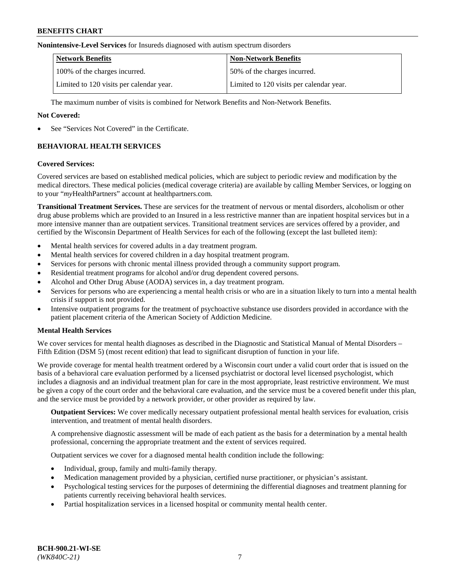#### **Nonintensive-Level Services** for Insureds diagnosed with autism spectrum disorders

| <b>Network Benefits</b>                  | <b>Non-Network Benefits</b>              |
|------------------------------------------|------------------------------------------|
| 100% of the charges incurred.            | 50% of the charges incurred.             |
| Limited to 120 visits per calendar year. | Limited to 120 visits per calendar year. |

The maximum number of visits is combined for Network Benefits and Non-Network Benefits.

### **Not Covered:**

See "Services Not Covered" in the Certificate.

## **BEHAVIORAL HEALTH SERVICES**

### **Covered Services:**

Covered services are based on established medical policies, which are subject to periodic review and modification by the medical directors. These medical policies (medical coverage criteria) are available by calling Member Services, or logging on to your "*my*HealthPartners" account at [healthpartners.com.](https://www.healthpartners.com/hp/index.html)

**Transitional Treatment Services.** These are services for the treatment of nervous or mental disorders, alcoholism or other drug abuse problems which are provided to an Insured in a less restrictive manner than are inpatient hospital services but in a more intensive manner than are outpatient services. Transitional treatment services are services offered by a provider, and certified by the Wisconsin Department of Health Services for each of the following (except the last bulleted item):

- Mental health services for covered adults in a day treatment program.
- Mental health services for covered children in a day hospital treatment program.
- Services for persons with chronic mental illness provided through a community support program.
- Residential treatment programs for alcohol and/or drug dependent covered persons.
- Alcohol and Other Drug Abuse (AODA) services in, a day treatment program.
- Services for persons who are experiencing a mental health crisis or who are in a situation likely to turn into a mental health crisis if support is not provided.
- Intensive outpatient programs for the treatment of psychoactive substance use disorders provided in accordance with the patient placement criteria of the American Society of Addiction Medicine.

### **Mental Health Services**

We cover services for mental health diagnoses as described in the Diagnostic and Statistical Manual of Mental Disorders – Fifth Edition (DSM 5) (most recent edition) that lead to significant disruption of function in your life.

We provide coverage for mental health treatment ordered by a Wisconsin court under a valid court order that is issued on the basis of a behavioral care evaluation performed by a licensed psychiatrist or doctoral level licensed psychologist, which includes a diagnosis and an individual treatment plan for care in the most appropriate, least restrictive environment. We must be given a copy of the court order and the behavioral care evaluation, and the service must be a covered benefit under this plan, and the service must be provided by a network provider, or other provider as required by law.

**Outpatient Services:** We cover medically necessary outpatient professional mental health services for evaluation, crisis intervention, and treatment of mental health disorders.

A comprehensive diagnostic assessment will be made of each patient as the basis for a determination by a mental health professional, concerning the appropriate treatment and the extent of services required.

Outpatient services we cover for a diagnosed mental health condition include the following:

- Individual, group, family and multi-family therapy.
- Medication management provided by a physician, certified nurse practitioner, or physician's assistant.
- Psychological testing services for the purposes of determining the differential diagnoses and treatment planning for patients currently receiving behavioral health services.
- Partial hospitalization services in a licensed hospital or community mental health center.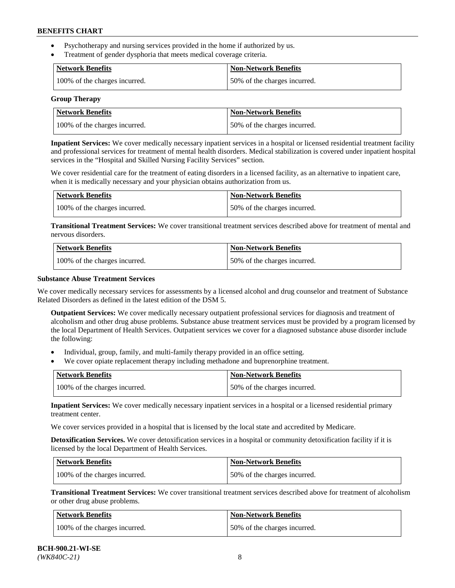- Psychotherapy and nursing services provided in the home if authorized by us.
- Treatment of gender dysphoria that meets medical coverage criteria.

| <b>Network Benefits</b>       | Non-Network Benefits         |
|-------------------------------|------------------------------|
| 100% of the charges incurred. | 50% of the charges incurred. |

#### **Group Therapy**

| Network Benefits              | <b>Non-Network Benefits</b>  |
|-------------------------------|------------------------------|
| 100% of the charges incurred. | 50% of the charges incurred. |

**Inpatient Services:** We cover medically necessary inpatient services in a hospital or licensed residential treatment facility and professional services for treatment of mental health disorders. Medical stabilization is covered under inpatient hospital services in the "Hospital and Skilled Nursing Facility Services" section.

We cover residential care for the treatment of eating disorders in a licensed facility, as an alternative to inpatient care, when it is medically necessary and your physician obtains authorization from us.

| Network Benefits              | <b>Non-Network Benefits</b>  |
|-------------------------------|------------------------------|
| 100% of the charges incurred. | 50% of the charges incurred. |

**Transitional Treatment Services:** We cover transitional treatment services described above for treatment of mental and nervous disorders.

| <b>Network Benefits</b>       | <b>Non-Network Benefits</b>  |
|-------------------------------|------------------------------|
| 100% of the charges incurred. | 50% of the charges incurred. |

### **Substance Abuse Treatment Services**

We cover medically necessary services for assessments by a licensed alcohol and drug counselor and treatment of Substance Related Disorders as defined in the latest edition of the DSM 5.

**Outpatient Services:** We cover medically necessary outpatient professional services for diagnosis and treatment of alcoholism and other drug abuse problems. Substance abuse treatment services must be provided by a program licensed by the local Department of Health Services. Outpatient services we cover for a diagnosed substance abuse disorder include the following:

- Individual, group, family, and multi-family therapy provided in an office setting.
- We cover opiate replacement therapy including methadone and buprenorphine treatment.

| <b>Network Benefits</b>       | <b>Non-Network Benefits</b>  |
|-------------------------------|------------------------------|
| 100% of the charges incurred. | 50% of the charges incurred. |

**Inpatient Services:** We cover medically necessary inpatient services in a hospital or a licensed residential primary treatment center.

We cover services provided in a hospital that is licensed by the local state and accredited by Medicare.

**Detoxification Services.** We cover detoxification services in a hospital or community detoxification facility if it is licensed by the local Department of Health Services.

| Network Benefits              | <b>Non-Network Benefits</b>  |
|-------------------------------|------------------------------|
| 100% of the charges incurred. | 50% of the charges incurred. |

**Transitional Treatment Services:** We cover transitional treatment services described above for treatment of alcoholism or other drug abuse problems.

| Network Benefits              | <b>Non-Network Benefits</b>  |
|-------------------------------|------------------------------|
| 100% of the charges incurred. | 50% of the charges incurred. |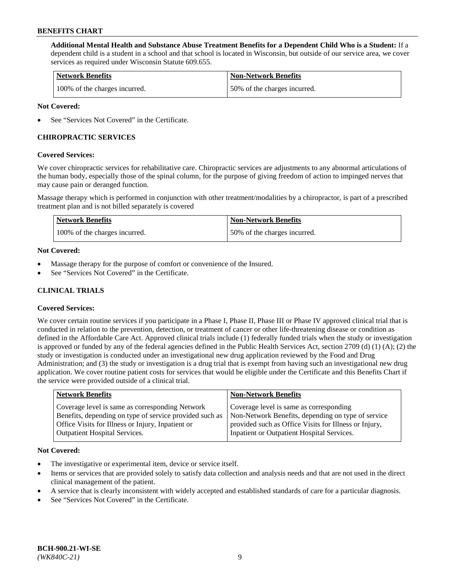**Additional Mental Health and Substance Abuse Treatment Benefits for a Dependent Child Who is a Student:** If a dependent child is a student in a school and that school is located in Wisconsin, but outside of our service area, we cover services as required under Wisconsin Statute 609.655.

| <b>Network Benefits</b>       | <b>Non-Network Benefits</b>  |
|-------------------------------|------------------------------|
| 100% of the charges incurred. | 50% of the charges incurred. |

### **Not Covered:**

See "Services Not Covered" in the Certificate.

### **CHIROPRACTIC SERVICES**

### **Covered Services:**

We cover chiropractic services for rehabilitative care. Chiropractic services are adjustments to any abnormal articulations of the human body, especially those of the spinal column, for the purpose of giving freedom of action to impinged nerves that may cause pain or deranged function.

Massage therapy which is performed in conjunction with other treatment/modalities by a chiropractor, is part of a prescribed treatment plan and is not billed separately is covered

| <b>Network Benefits</b>       | <b>Non-Network Benefits</b>  |
|-------------------------------|------------------------------|
| 100% of the charges incurred. | 50% of the charges incurred. |

### **Not Covered:**

- Massage therapy for the purpose of comfort or convenience of the Insured.
- See "Services Not Covered" in the Certificate.

## **CLINICAL TRIALS**

### **Covered Services:**

We cover certain routine services if you participate in a Phase I, Phase II, Phase III or Phase IV approved clinical trial that is conducted in relation to the prevention, detection, or treatment of cancer or other life-threatening disease or condition as defined in the Affordable Care Act. Approved clinical trials include (1) federally funded trials when the study or investigation is approved or funded by any of the federal agencies defined in the Public Health Services Act, section 2709 (d) (1) (A); (2) the study or investigation is conducted under an investigational new drug application reviewed by the Food and Drug Administration; and (3) the study or investigation is a drug trial that is exempt from having such an investigational new drug application. We cover routine patient costs for services that would be eligible under the Certificate and this Benefits Chart if the service were provided outside of a clinical trial.

| <b>Network Benefits</b>                                                                                                                                                                                 | <b>Non-Network Benefits</b>                                                                                                                                                                          |
|---------------------------------------------------------------------------------------------------------------------------------------------------------------------------------------------------------|------------------------------------------------------------------------------------------------------------------------------------------------------------------------------------------------------|
| Coverage level is same as corresponding Network<br>Benefits, depending on type of service provided such as<br>Office Visits for Illness or Injury, Inpatient or<br><b>Outpatient Hospital Services.</b> | Coverage level is same as corresponding<br>Non-Network Benefits, depending on type of service<br>provided such as Office Visits for Illness or Injury,<br>Inpatient or Outpatient Hospital Services. |
|                                                                                                                                                                                                         |                                                                                                                                                                                                      |

#### **Not Covered:**

- The investigative or experimental item, device or service itself.
- Items or services that are provided solely to satisfy data collection and analysis needs and that are not used in the direct clinical management of the patient.
- A service that is clearly inconsistent with widely accepted and established standards of care for a particular diagnosis.
- See "Services Not Covered" in the Certificate.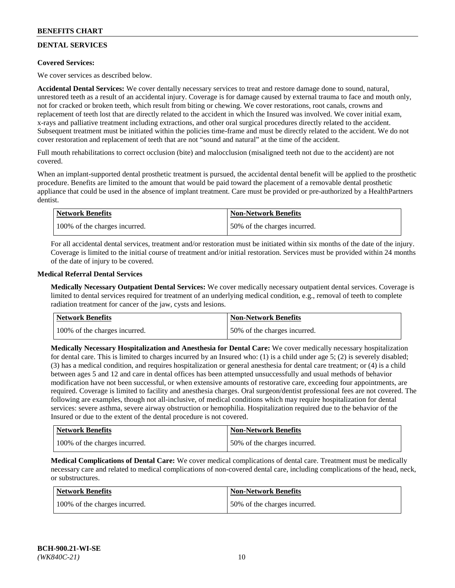## **DENTAL SERVICES**

### **Covered Services:**

We cover services as described below.

**Accidental Dental Services:** We cover dentally necessary services to treat and restore damage done to sound, natural, unrestored teeth as a result of an accidental injury. Coverage is for damage caused by external trauma to face and mouth only, not for cracked or broken teeth, which result from biting or chewing. We cover restorations, root canals, crowns and replacement of teeth lost that are directly related to the accident in which the Insured was involved. We cover initial exam, x-rays and palliative treatment including extractions, and other oral surgical procedures directly related to the accident. Subsequent treatment must be initiated within the policies time-frame and must be directly related to the accident. We do not cover restoration and replacement of teeth that are not "sound and natural" at the time of the accident.

Full mouth rehabilitations to correct occlusion (bite) and malocclusion (misaligned teeth not due to the accident) are not covered.

When an implant-supported dental prosthetic treatment is pursued, the accidental dental benefit will be applied to the prosthetic procedure. Benefits are limited to the amount that would be paid toward the placement of a removable dental prosthetic appliance that could be used in the absence of implant treatment. Care must be provided or pre-authorized by a HealthPartners dentist.

| <b>Network Benefits</b>       | <b>Non-Network Benefits</b>  |
|-------------------------------|------------------------------|
| 100% of the charges incurred. | 50% of the charges incurred. |

For all accidental dental services, treatment and/or restoration must be initiated within six months of the date of the injury. Coverage is limited to the initial course of treatment and/or initial restoration. Services must be provided within 24 months of the date of injury to be covered.

### **Medical Referral Dental Services**

**Medically Necessary Outpatient Dental Services:** We cover medically necessary outpatient dental services. Coverage is limited to dental services required for treatment of an underlying medical condition, e.g., removal of teeth to complete radiation treatment for cancer of the jaw, cysts and lesions.

| <b>Network Benefits</b>       | <b>Non-Network Benefits</b>  |
|-------------------------------|------------------------------|
| 100% of the charges incurred. | 50% of the charges incurred. |

**Medically Necessary Hospitalization and Anesthesia for Dental Care:** We cover medically necessary hospitalization for dental care. This is limited to charges incurred by an Insured who: (1) is a child under age  $5$ ; (2) is severely disabled; (3) has a medical condition, and requires hospitalization or general anesthesia for dental care treatment; or (4) is a child between ages 5 and 12 and care in dental offices has been attempted unsuccessfully and usual methods of behavior modification have not been successful, or when extensive amounts of restorative care, exceeding four appointments, are required. Coverage is limited to facility and anesthesia charges. Oral surgeon/dentist professional fees are not covered. The following are examples, though not all-inclusive, of medical conditions which may require hospitalization for dental services: severe asthma, severe airway obstruction or hemophilia. Hospitalization required due to the behavior of the Insured or due to the extent of the dental procedure is not covered.

| <b>Network Benefits</b>       | <b>Non-Network Benefits</b>  |
|-------------------------------|------------------------------|
| 100% of the charges incurred. | 50% of the charges incurred. |

**Medical Complications of Dental Care:** We cover medical complications of dental care. Treatment must be medically necessary care and related to medical complications of non-covered dental care, including complications of the head, neck, or substructures.

| Network Benefits              | <b>Non-Network Benefits</b>  |
|-------------------------------|------------------------------|
| 100% of the charges incurred. | 50% of the charges incurred. |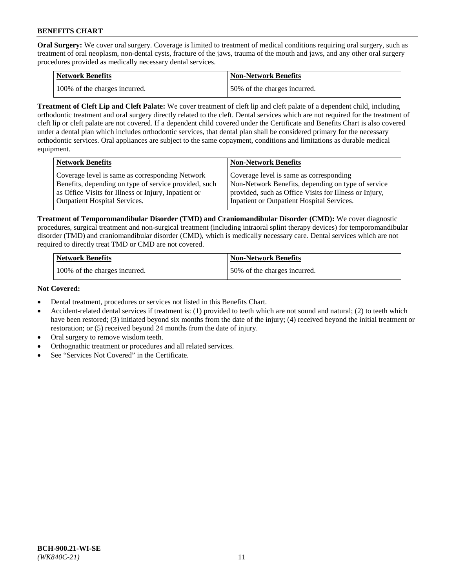**Oral Surgery:** We cover oral surgery. Coverage is limited to treatment of medical conditions requiring oral surgery, such as treatment of oral neoplasm, non-dental cysts, fracture of the jaws, trauma of the mouth and jaws, and any other oral surgery procedures provided as medically necessary dental services.

| <b>Network Benefits</b>       | Non-Network Benefits         |
|-------------------------------|------------------------------|
| 100% of the charges incurred. | 50% of the charges incurred. |

**Treatment of Cleft Lip and Cleft Palate:** We cover treatment of cleft lip and cleft palate of a dependent child, including orthodontic treatment and oral surgery directly related to the cleft. Dental services which are not required for the treatment of cleft lip or cleft palate are not covered. If a dependent child covered under the Certificate and Benefits Chart is also covered under a dental plan which includes orthodontic services, that dental plan shall be considered primary for the necessary orthodontic services. Oral appliances are subject to the same copayment, conditions and limitations as durable medical equipment.

| <b>Network Benefits</b>                               | <b>Non-Network Benefits</b>                            |
|-------------------------------------------------------|--------------------------------------------------------|
| Coverage level is same as corresponding Network       | Coverage level is same as corresponding                |
| Benefits, depending on type of service provided, such | Non-Network Benefits, depending on type of service     |
| as Office Visits for Illness or Injury, Inpatient or  | provided, such as Office Visits for Illness or Injury, |
| Outpatient Hospital Services.                         | Inpatient or Outpatient Hospital Services.             |

**Treatment of Temporomandibular Disorder (TMD) and Craniomandibular Disorder (CMD):** We cover diagnostic procedures, surgical treatment and non-surgical treatment (including intraoral splint therapy devices) for temporomandibular disorder (TMD) and craniomandibular disorder (CMD), which is medically necessary care. Dental services which are not required to directly treat TMD or CMD are not covered.

| <b>Network Benefits</b>       | <b>Non-Network Benefits</b>  |
|-------------------------------|------------------------------|
| 100% of the charges incurred. | 50% of the charges incurred. |

### **Not Covered:**

- Dental treatment, procedures or services not listed in this Benefits Chart.
- Accident-related dental services if treatment is: (1) provided to teeth which are not sound and natural; (2) to teeth which have been restored; (3) initiated beyond six months from the date of the injury; (4) received beyond the initial treatment or restoration; or (5) received beyond 24 months from the date of injury.
- Oral surgery to remove wisdom teeth.
- Orthognathic treatment or procedures and all related services.
- See "Services Not Covered" in the Certificate.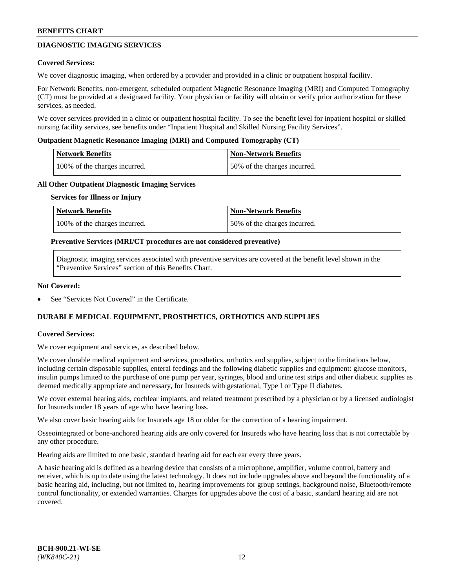## **DIAGNOSTIC IMAGING SERVICES**

### **Covered Services:**

We cover diagnostic imaging, when ordered by a provider and provided in a clinic or outpatient hospital facility.

For Network Benefits, non-emergent, scheduled outpatient Magnetic Resonance Imaging (MRI) and Computed Tomography (CT) must be provided at a designated facility. Your physician or facility will obtain or verify prior authorization for these services, as needed.

We cover services provided in a clinic or outpatient hospital facility. To see the benefit level for inpatient hospital or skilled nursing facility services, see benefits under "Inpatient Hospital and Skilled Nursing Facility Services".

### **Outpatient Magnetic Resonance Imaging (MRI) and Computed Tomography (CT)**

| <b>Network Benefits</b>       | <b>Non-Network Benefits</b>  |
|-------------------------------|------------------------------|
| 100% of the charges incurred. | 50% of the charges incurred. |

### **All Other Outpatient Diagnostic Imaging Services**

#### **Services for Illness or Injury**

| Network Benefits              | <b>Non-Network Benefits</b>  |
|-------------------------------|------------------------------|
| 100% of the charges incurred. | 50% of the charges incurred. |

### **Preventive Services (MRI/CT procedures are not considered preventive)**

Diagnostic imaging services associated with preventive services are covered at the benefit level shown in the "Preventive Services" section of this Benefits Chart.

### **Not Covered:**

See "Services Not Covered" in the Certificate.

## **DURABLE MEDICAL EQUIPMENT, PROSTHETICS, ORTHOTICS AND SUPPLIES**

### **Covered Services:**

We cover equipment and services, as described below.

We cover durable medical equipment and services, prosthetics, orthotics and supplies, subject to the limitations below, including certain disposable supplies, enteral feedings and the following diabetic supplies and equipment: glucose monitors, insulin pumps limited to the purchase of one pump per year, syringes, blood and urine test strips and other diabetic supplies as deemed medically appropriate and necessary, for Insureds with gestational, Type I or Type II diabetes.

We cover external hearing aids, cochlear implants, and related treatment prescribed by a physician or by a licensed audiologist for Insureds under 18 years of age who have hearing loss.

We also cover basic hearing aids for Insureds age 18 or older for the correction of a hearing impairment.

Osseointegrated or bone-anchored hearing aids are only covered for Insureds who have hearing loss that is not correctable by any other procedure.

Hearing aids are limited to one basic, standard hearing aid for each ear every three years.

A basic hearing aid is defined as a hearing device that consists of a microphone, amplifier, volume control, battery and receiver, which is up to date using the latest technology. It does not include upgrades above and beyond the functionality of a basic hearing aid, including, but not limited to, hearing improvements for group settings, background noise, Bluetooth/remote control functionality, or extended warranties. Charges for upgrades above the cost of a basic, standard hearing aid are not covered.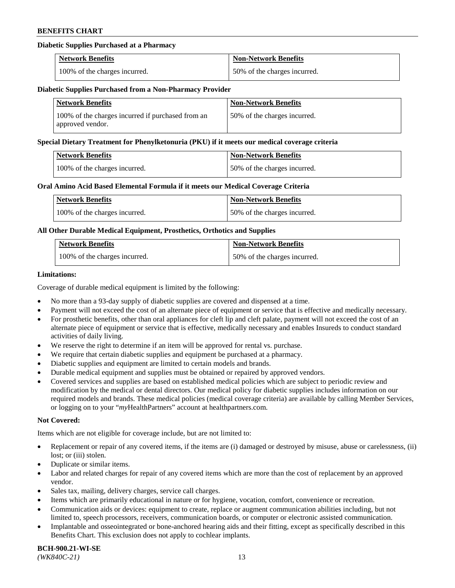### **Diabetic Supplies Purchased at a Pharmacy**

| <b>Network Benefits</b>       | <b>Non-Network Benefits</b>  |
|-------------------------------|------------------------------|
| 100% of the charges incurred. | 50% of the charges incurred. |

### **Diabetic Supplies Purchased from a Non-Pharmacy Provider**

| <b>Network Benefits</b>                                               | <b>Non-Network Benefits</b>  |
|-----------------------------------------------------------------------|------------------------------|
| 100% of the charges incurred if purchased from an<br>approved vendor. | 50% of the charges incurred. |

#### **Special Dietary Treatment for Phenylketonuria (PKU) if it meets our medical coverage criteria**

| Network Benefits              | <b>Non-Network Benefits</b>  |
|-------------------------------|------------------------------|
| 100% of the charges incurred. | 50% of the charges incurred. |

### **Oral Amino Acid Based Elemental Formula if it meets our Medical Coverage Criteria**

| Network Benefits              | <b>Non-Network Benefits</b>  |
|-------------------------------|------------------------------|
| 100% of the charges incurred. | 50% of the charges incurred. |

### **All Other Durable Medical Equipment, Prosthetics, Orthotics and Supplies**

| <b>Network Benefits</b>       | <b>Non-Network Benefits</b>  |
|-------------------------------|------------------------------|
| 100% of the charges incurred. | 50% of the charges incurred. |

### **Limitations:**

Coverage of durable medical equipment is limited by the following:

- No more than a 93-day supply of diabetic supplies are covered and dispensed at a time.
- Payment will not exceed the cost of an alternate piece of equipment or service that is effective and medically necessary.
- For prosthetic benefits, other than oral appliances for cleft lip and cleft palate, payment will not exceed the cost of an alternate piece of equipment or service that is effective, medically necessary and enables Insureds to conduct standard activities of daily living.
- We reserve the right to determine if an item will be approved for rental vs. purchase.
- We require that certain diabetic supplies and equipment be purchased at a pharmacy.
- Diabetic supplies and equipment are limited to certain models and brands.
- Durable medical equipment and supplies must be obtained or repaired by approved vendors.
- Covered services and supplies are based on established medical policies which are subject to periodic review and modification by the medical or dental directors. Our medical policy for diabetic supplies includes information on our required models and brands. These medical policies (medical coverage criteria) are available by calling Member Services, or logging on to your "*my*HealthPartners" account a[t healthpartners.com.](https://www.healthpartners.com/hp/index.html)

### **Not Covered:**

Items which are not eligible for coverage include, but are not limited to:

- Replacement or repair of any covered items, if the items are (i) damaged or destroyed by misuse, abuse or carelessness, (ii) lost; or (iii) stolen.
- Duplicate or similar items.
- Labor and related charges for repair of any covered items which are more than the cost of replacement by an approved vendor.
- Sales tax, mailing, delivery charges, service call charges.
- Items which are primarily educational in nature or for hygiene, vocation, comfort, convenience or recreation.
- Communication aids or devices: equipment to create, replace or augment communication abilities including, but not limited to, speech processors, receivers, communication boards, or computer or electronic assisted communication.
- Implantable and osseointegrated or bone-anchored hearing aids and their fitting, except as specifically described in this Benefits Chart. This exclusion does not apply to cochlear implants.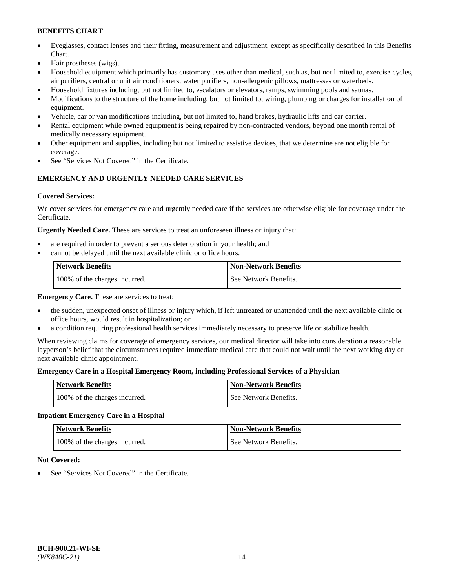- Eyeglasses, contact lenses and their fitting, measurement and adjustment, except as specifically described in this Benefits Chart.
- Hair prostheses (wigs).
- Household equipment which primarily has customary uses other than medical, such as, but not limited to, exercise cycles, air purifiers, central or unit air conditioners, water purifiers, non-allergenic pillows, mattresses or waterbeds.
- Household fixtures including, but not limited to, escalators or elevators, ramps, swimming pools and saunas.
- Modifications to the structure of the home including, but not limited to, wiring, plumbing or charges for installation of equipment.
- Vehicle, car or van modifications including, but not limited to, hand brakes, hydraulic lifts and car carrier.
- Rental equipment while owned equipment is being repaired by non-contracted vendors, beyond one month rental of medically necessary equipment.
- Other equipment and supplies, including but not limited to assistive devices, that we determine are not eligible for coverage.
- See "Services Not Covered" in the Certificate.

## **EMERGENCY AND URGENTLY NEEDED CARE SERVICES**

### **Covered Services:**

We cover services for emergency care and urgently needed care if the services are otherwise eligible for coverage under the Certificate.

**Urgently Needed Care.** These are services to treat an unforeseen illness or injury that:

- are required in order to prevent a serious deterioration in your health; and
- cannot be delayed until the next available clinic or office hours.

| <b>Network Benefits</b>       | <b>Non-Network Benefits</b> |
|-------------------------------|-----------------------------|
| 100% of the charges incurred. | See Network Benefits.       |

**Emergency Care.** These are services to treat:

- the sudden, unexpected onset of illness or injury which, if left untreated or unattended until the next available clinic or office hours, would result in hospitalization; or
- a condition requiring professional health services immediately necessary to preserve life or stabilize health.

When reviewing claims for coverage of emergency services, our medical director will take into consideration a reasonable layperson's belief that the circumstances required immediate medical care that could not wait until the next working day or next available clinic appointment.

### **Emergency Care in a Hospital Emergency Room, including Professional Services of a Physician**

| <b>Network Benefits</b>       | <b>Non-Network Benefits</b> |
|-------------------------------|-----------------------------|
| 100% of the charges incurred. | See Network Benefits.       |

## **Inpatient Emergency Care in a Hospital**

| <b>Network Benefits</b>       | <b>Non-Network Benefits</b> |
|-------------------------------|-----------------------------|
| 100% of the charges incurred. | See Network Benefits.       |

### **Not Covered:**

See "Services Not Covered" in the Certificate.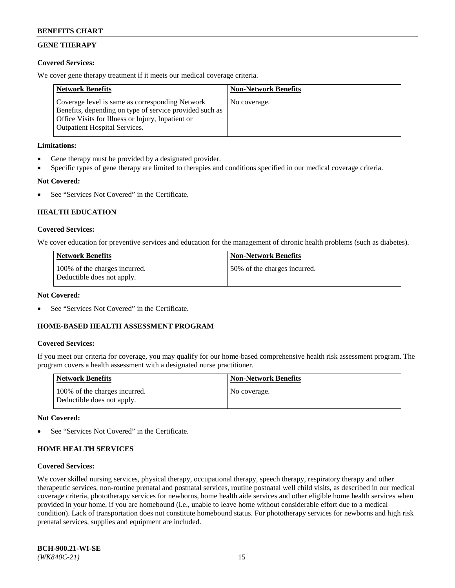## **GENE THERAPY**

### **Covered Services:**

We cover gene therapy treatment if it meets our medical coverage criteria.

| <b>Network Benefits</b>                                                                                                                                                                                 | <b>Non-Network Benefits</b> |
|---------------------------------------------------------------------------------------------------------------------------------------------------------------------------------------------------------|-----------------------------|
| Coverage level is same as corresponding Network<br>Benefits, depending on type of service provided such as<br>Office Visits for Illness or Injury, Inpatient or<br><b>Outpatient Hospital Services.</b> | No coverage.                |

### **Limitations:**

- Gene therapy must be provided by a designated provider.
- Specific types of gene therapy are limited to therapies and conditions specified in our medical coverage criteria.

## **Not Covered:**

See "Services Not Covered" in the Certificate.

### **HEALTH EDUCATION**

### **Covered Services:**

We cover education for preventive services and education for the management of chronic health problems (such as diabetes).

| <b>Network Benefits</b>                                     | <b>Non-Network Benefits</b>  |
|-------------------------------------------------------------|------------------------------|
| 100% of the charges incurred.<br>Deductible does not apply. | 50% of the charges incurred. |

#### **Not Covered:**

See "Services Not Covered" in the Certificate.

### **HOME-BASED HEALTH ASSESSMENT PROGRAM**

#### **Covered Services:**

If you meet our criteria for coverage, you may qualify for our home-based comprehensive health risk assessment program. The program covers a health assessment with a designated nurse practitioner.

| Network Benefits                                            | <b>Non-Network Benefits</b> |
|-------------------------------------------------------------|-----------------------------|
| 100% of the charges incurred.<br>Deductible does not apply. | No coverage.                |

### **Not Covered:**

See "Services Not Covered" in the Certificate.

### **HOME HEALTH SERVICES**

#### **Covered Services:**

We cover skilled nursing services, physical therapy, occupational therapy, speech therapy, respiratory therapy and other therapeutic services, non-routine prenatal and postnatal services, routine postnatal well child visits, as described in our medical coverage criteria, phototherapy services for newborns, home health aide services and other eligible home health services when provided in your home, if you are homebound (i.e., unable to leave home without considerable effort due to a medical condition). Lack of transportation does not constitute homebound status. For phototherapy services for newborns and high risk prenatal services, supplies and equipment are included.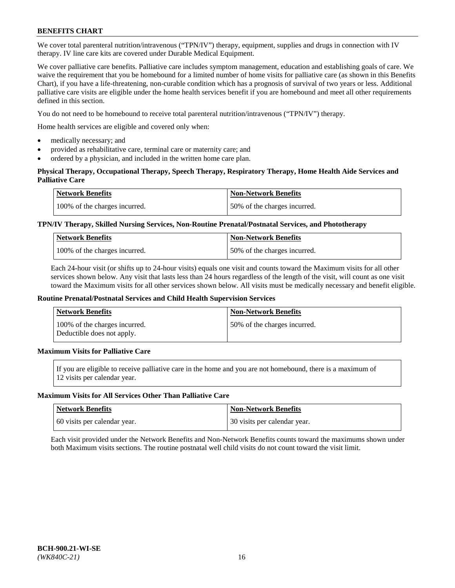We cover total parenteral nutrition/intravenous ("TPN/IV") therapy, equipment, supplies and drugs in connection with IV therapy. IV line care kits are covered under Durable Medical Equipment.

We cover palliative care benefits. Palliative care includes symptom management, education and establishing goals of care. We waive the requirement that you be homebound for a limited number of home visits for palliative care (as shown in this Benefits Chart), if you have a life-threatening, non-curable condition which has a prognosis of survival of two years or less. Additional palliative care visits are eligible under the home health services benefit if you are homebound and meet all other requirements defined in this section.

You do not need to be homebound to receive total parenteral nutrition/intravenous ("TPN/IV") therapy.

Home health services are eligible and covered only when:

- medically necessary; and
- provided as rehabilitative care, terminal care or maternity care; and
- ordered by a physician, and included in the written home care plan.

### **Physical Therapy, Occupational Therapy, Speech Therapy, Respiratory Therapy, Home Health Aide Services and Palliative Care**

| <b>Network Benefits</b>       | <b>Non-Network Benefits</b>  |
|-------------------------------|------------------------------|
| 100% of the charges incurred. | 50% of the charges incurred. |

### **TPN/IV Therapy, Skilled Nursing Services, Non-Routine Prenatal/Postnatal Services, and Phototherapy**

| <b>Network Benefits</b>       | <b>Non-Network Benefits</b>  |
|-------------------------------|------------------------------|
| 100% of the charges incurred. | 50% of the charges incurred. |

Each 24-hour visit (or shifts up to 24-hour visits) equals one visit and counts toward the Maximum visits for all other services shown below. Any visit that lasts less than 24 hours regardless of the length of the visit, will count as one visit toward the Maximum visits for all other services shown below. All visits must be medically necessary and benefit eligible.

#### **Routine Prenatal/Postnatal Services and Child Health Supervision Services**

| <b>Network Benefits</b>                                     | <b>Non-Network Benefits</b>  |
|-------------------------------------------------------------|------------------------------|
| 100% of the charges incurred.<br>Deductible does not apply. | 50% of the charges incurred. |

## **Maximum Visits for Palliative Care**

If you are eligible to receive palliative care in the home and you are not homebound, there is a maximum of 12 visits per calendar year.

#### **Maximum Visits for All Services Other Than Palliative Care**

| Network Benefits             | <b>Non-Network Benefits</b>    |
|------------------------------|--------------------------------|
| 60 visits per calendar year. | 1 30 visits per calendar year. |

Each visit provided under the Network Benefits and Non-Network Benefits counts toward the maximums shown under both Maximum visits sections. The routine postnatal well child visits do not count toward the visit limit.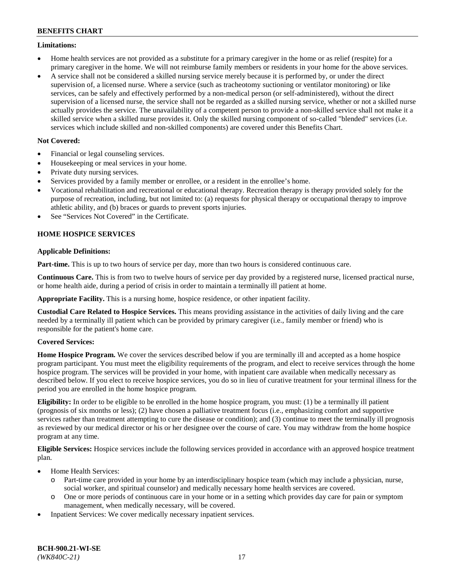### **Limitations:**

- Home health services are not provided as a substitute for a primary caregiver in the home or as relief (respite) for a primary caregiver in the home. We will not reimburse family members or residents in your home for the above services.
- A service shall not be considered a skilled nursing service merely because it is performed by, or under the direct supervision of, a licensed nurse. Where a service (such as tracheotomy suctioning or ventilator monitoring) or like services, can be safely and effectively performed by a non-medical person (or self-administered), without the direct supervision of a licensed nurse, the service shall not be regarded as a skilled nursing service, whether or not a skilled nurse actually provides the service. The unavailability of a competent person to provide a non-skilled service shall not make it a skilled service when a skilled nurse provides it. Only the skilled nursing component of so-called "blended" services (i.e. services which include skilled and non-skilled components) are covered under this Benefits Chart.

### **Not Covered:**

- Financial or legal counseling services.
- Housekeeping or meal services in your home.
- Private duty nursing services.
- Services provided by a family member or enrollee, or a resident in the enrollee's home.
- Vocational rehabilitation and recreational or educational therapy. Recreation therapy is therapy provided solely for the purpose of recreation, including, but not limited to: (a) requests for physical therapy or occupational therapy to improve athletic ability, and (b) braces or guards to prevent sports injuries.
- See "Services Not Covered" in the Certificate.

## **HOME HOSPICE SERVICES**

### **Applicable Definitions:**

**Part-time.** This is up to two hours of service per day, more than two hours is considered continuous care.

**Continuous Care.** This is from two to twelve hours of service per day provided by a registered nurse, licensed practical nurse, or home health aide, during a period of crisis in order to maintain a terminally ill patient at home.

**Appropriate Facility.** This is a nursing home, hospice residence, or other inpatient facility.

**Custodial Care Related to Hospice Services.** This means providing assistance in the activities of daily living and the care needed by a terminally ill patient which can be provided by primary caregiver (i.e., family member or friend) who is responsible for the patient's home care.

### **Covered Services:**

**Home Hospice Program.** We cover the services described below if you are terminally ill and accepted as a home hospice program participant. You must meet the eligibility requirements of the program, and elect to receive services through the home hospice program. The services will be provided in your home, with inpatient care available when medically necessary as described below. If you elect to receive hospice services, you do so in lieu of curative treatment for your terminal illness for the period you are enrolled in the home hospice program.

**Eligibility:** In order to be eligible to be enrolled in the home hospice program, you must: (1) be a terminally ill patient (prognosis of six months or less); (2) have chosen a palliative treatment focus (i.e., emphasizing comfort and supportive services rather than treatment attempting to cure the disease or condition); and (3) continue to meet the terminally ill prognosis as reviewed by our medical director or his or her designee over the course of care. You may withdraw from the home hospice program at any time.

**Eligible Services:** Hospice services include the following services provided in accordance with an approved hospice treatment plan.

- Home Health Services:
	- o Part-time care provided in your home by an interdisciplinary hospice team (which may include a physician, nurse, social worker, and spiritual counselor) and medically necessary home health services are covered.
	- o One or more periods of continuous care in your home or in a setting which provides day care for pain or symptom management, when medically necessary, will be covered.
- Inpatient Services: We cover medically necessary inpatient services.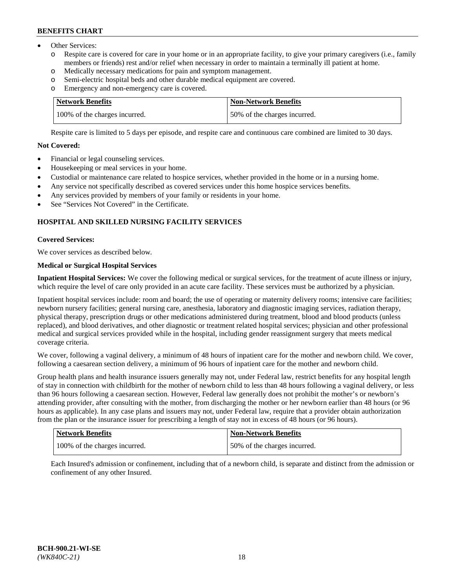- Other Services:
	- Respite care is covered for care in your home or in an appropriate facility, to give your primary caregivers (i.e., family members or friends) rest and/or relief when necessary in order to maintain a terminally ill patient at home.
	- o Medically necessary medications for pain and symptom management.
	- o Semi-electric hospital beds and other durable medical equipment are covered.
	- Emergency and non-emergency care is covered.

| Network Benefits              | <b>Non-Network Benefits</b>  |
|-------------------------------|------------------------------|
| 100% of the charges incurred. | 50% of the charges incurred. |

Respite care is limited to 5 days per episode, and respite care and continuous care combined are limited to 30 days.

### **Not Covered:**

- Financial or legal counseling services.
- Housekeeping or meal services in your home.
- Custodial or maintenance care related to hospice services, whether provided in the home or in a nursing home.
- Any service not specifically described as covered services under this home hospice services benefits.
- Any services provided by members of your family or residents in your home.
- See "Services Not Covered" in the Certificate.

## **HOSPITAL AND SKILLED NURSING FACILITY SERVICES**

### **Covered Services:**

We cover services as described below.

## **Medical or Surgical Hospital Services**

**Inpatient Hospital Services:** We cover the following medical or surgical services, for the treatment of acute illness or injury, which require the level of care only provided in an acute care facility. These services must be authorized by a physician.

Inpatient hospital services include: room and board; the use of operating or maternity delivery rooms; intensive care facilities; newborn nursery facilities; general nursing care, anesthesia, laboratory and diagnostic imaging services, radiation therapy, physical therapy, prescription drugs or other medications administered during treatment, blood and blood products (unless replaced), and blood derivatives, and other diagnostic or treatment related hospital services; physician and other professional medical and surgical services provided while in the hospital, including gender reassignment surgery that meets medical coverage criteria.

We cover, following a vaginal delivery, a minimum of 48 hours of inpatient care for the mother and newborn child. We cover, following a caesarean section delivery, a minimum of 96 hours of inpatient care for the mother and newborn child.

Group health plans and health insurance issuers generally may not, under Federal law, restrict benefits for any hospital length of stay in connection with childbirth for the mother of newborn child to less than 48 hours following a vaginal delivery, or less than 96 hours following a caesarean section. However, Federal law generally does not prohibit the mother's or newborn's attending provider, after consulting with the mother, from discharging the mother or her newborn earlier than 48 hours (or 96 hours as applicable). In any case plans and issuers may not, under Federal law, require that a provider obtain authorization from the plan or the insurance issuer for prescribing a length of stay not in excess of 48 hours (or 96 hours).

| Network Benefits              | Non-Network Benefits         |
|-------------------------------|------------------------------|
| 100% of the charges incurred. | 50% of the charges incurred. |

Each Insured's admission or confinement, including that of a newborn child, is separate and distinct from the admission or confinement of any other Insured.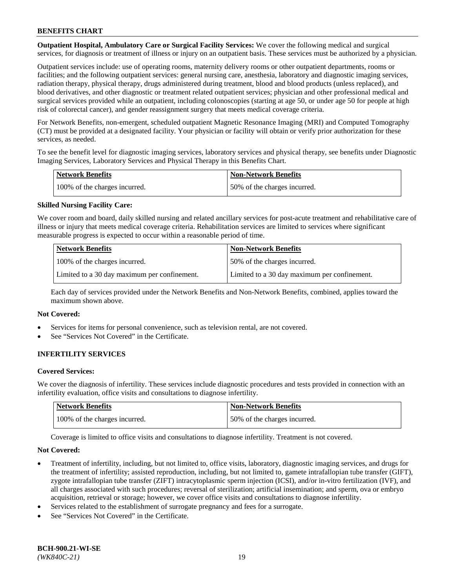**Outpatient Hospital, Ambulatory Care or Surgical Facility Services:** We cover the following medical and surgical services, for diagnosis or treatment of illness or injury on an outpatient basis. These services must be authorized by a physician.

Outpatient services include: use of operating rooms, maternity delivery rooms or other outpatient departments, rooms or facilities; and the following outpatient services: general nursing care, anesthesia, laboratory and diagnostic imaging services, radiation therapy, physical therapy, drugs administered during treatment, blood and blood products (unless replaced), and blood derivatives, and other diagnostic or treatment related outpatient services; physician and other professional medical and surgical services provided while an outpatient, including colonoscopies (starting at age 50, or under age 50 for people at high risk of colorectal cancer), and gender reassignment surgery that meets medical coverage criteria.

For Network Benefits, non-emergent, scheduled outpatient Magnetic Resonance Imaging (MRI) and Computed Tomography (CT) must be provided at a designated facility. Your physician or facility will obtain or verify prior authorization for these services, as needed.

To see the benefit level for diagnostic imaging services, laboratory services and physical therapy, see benefits under Diagnostic Imaging Services, Laboratory Services and Physical Therapy in this Benefits Chart.

| <b>Network Benefits</b>       | <b>Non-Network Benefits</b>  |
|-------------------------------|------------------------------|
| 100% of the charges incurred. | 50% of the charges incurred. |

### **Skilled Nursing Facility Care:**

We cover room and board, daily skilled nursing and related ancillary services for post-acute treatment and rehabilitative care of illness or injury that meets medical coverage criteria. Rehabilitation services are limited to services where significant measurable progress is expected to occur within a reasonable period of time.

| <b>Network Benefits</b>                      | <b>Non-Network Benefits</b>                  |
|----------------------------------------------|----------------------------------------------|
| 100% of the charges incurred.                | 50% of the charges incurred.                 |
| Limited to a 30 day maximum per confinement. | Limited to a 30 day maximum per confinement. |

Each day of services provided under the Network Benefits and Non-Network Benefits, combined, applies toward the maximum shown above.

#### **Not Covered:**

- Services for items for personal convenience, such as television rental, are not covered.
- See "Services Not Covered" in the Certificate.

### **INFERTILITY SERVICES**

#### **Covered Services:**

We cover the diagnosis of infertility. These services include diagnostic procedures and tests provided in connection with an infertility evaluation, office visits and consultations to diagnose infertility.

| <b>Network Benefits</b>       | <b>Non-Network Benefits</b>  |
|-------------------------------|------------------------------|
| 100% of the charges incurred. | 50% of the charges incurred. |

Coverage is limited to office visits and consultations to diagnose infertility. Treatment is not covered.

#### **Not Covered:**

- Treatment of infertility, including, but not limited to, office visits, laboratory, diagnostic imaging services, and drugs for the treatment of infertility; assisted reproduction, including, but not limited to, gamete intrafallopian tube transfer (GIFT), zygote intrafallopian tube transfer (ZIFT) intracytoplasmic sperm injection (ICSI), and/or in-vitro fertilization (IVF), and all charges associated with such procedures; reversal of sterilization; artificial insemination; and sperm, ova or embryo acquisition, retrieval or storage; however, we cover office visits and consultations to diagnose infertility.
- Services related to the establishment of surrogate pregnancy and fees for a surrogate.
- See "Services Not Covered" in the Certificate.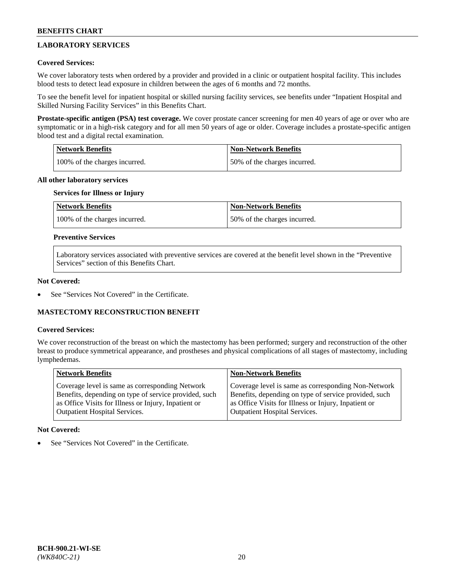## **LABORATORY SERVICES**

### **Covered Services:**

We cover laboratory tests when ordered by a provider and provided in a clinic or outpatient hospital facility. This includes blood tests to detect lead exposure in children between the ages of 6 months and 72 months.

To see the benefit level for inpatient hospital or skilled nursing facility services, see benefits under "Inpatient Hospital and Skilled Nursing Facility Services" in this Benefits Chart.

**Prostate-specific antigen (PSA) test coverage.** We cover prostate cancer screening for men 40 years of age or over who are symptomatic or in a high-risk category and for all men 50 years of age or older. Coverage includes a prostate-specific antigen blood test and a digital rectal examination.

| Network Benefits              | <b>Non-Network Benefits</b>  |
|-------------------------------|------------------------------|
| 100% of the charges incurred. | 50% of the charges incurred. |

### **All other laboratory services**

## **Services for Illness or Injury**

| <b>Network Benefits</b>       | <b>Non-Network Benefits</b>  |
|-------------------------------|------------------------------|
| 100% of the charges incurred. | 50% of the charges incurred. |

### **Preventive Services**

Laboratory services associated with preventive services are covered at the benefit level shown in the "Preventive Services" section of this Benefits Chart.

### **Not Covered:**

See "Services Not Covered" in the Certificate.

### **MASTECTOMY RECONSTRUCTION BENEFIT**

#### **Covered Services:**

We cover reconstruction of the breast on which the mastectomy has been performed; surgery and reconstruction of the other breast to produce symmetrical appearance, and prostheses and physical complications of all stages of mastectomy, including lymphedemas.

| <b>Network Benefits</b>                               | <b>Non-Network Benefits</b>                           |
|-------------------------------------------------------|-------------------------------------------------------|
| Coverage level is same as corresponding Network       | Coverage level is same as corresponding Non-Network   |
| Benefits, depending on type of service provided, such | Benefits, depending on type of service provided, such |
| as Office Visits for Illness or Injury, Inpatient or  | as Office Visits for Illness or Injury, Inpatient or  |
| Outpatient Hospital Services.                         | <b>Outpatient Hospital Services.</b>                  |

#### **Not Covered:**

See "Services Not Covered" in the Certificate.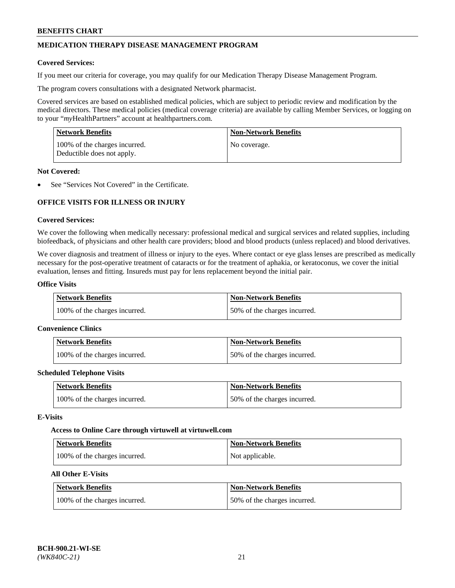## **MEDICATION THERAPY DISEASE MANAGEMENT PROGRAM**

### **Covered Services:**

If you meet our criteria for coverage, you may qualify for our Medication Therapy Disease Management Program.

The program covers consultations with a designated Network pharmacist.

Covered services are based on established medical policies, which are subject to periodic review and modification by the medical directors. These medical policies (medical coverage criteria) are available by calling Member Services, or logging on to your "*my*HealthPartners" account at [healthpartners.com.](http://www.healthpartners.com/)

| Network Benefits                                            | <b>Non-Network Benefits</b> |
|-------------------------------------------------------------|-----------------------------|
| 100% of the charges incurred.<br>Deductible does not apply. | No coverage.                |

### **Not Covered:**

See "Services Not Covered" in the Certificate.

## **OFFICE VISITS FOR ILLNESS OR INJURY**

### **Covered Services:**

We cover the following when medically necessary: professional medical and surgical services and related supplies, including biofeedback, of physicians and other health care providers; blood and blood products (unless replaced) and blood derivatives.

We cover diagnosis and treatment of illness or injury to the eyes. Where contact or eye glass lenses are prescribed as medically necessary for the post-operative treatment of cataracts or for the treatment of aphakia, or keratoconus, we cover the initial evaluation, lenses and fitting. Insureds must pay for lens replacement beyond the initial pair.

## **Office Visits**

| <b>Network Benefits</b>       | <b>Non-Network Benefits</b>  |
|-------------------------------|------------------------------|
| 100% of the charges incurred. | 50% of the charges incurred. |

#### **Convenience Clinics**

| Network Benefits              | <b>Non-Network Benefits</b>  |
|-------------------------------|------------------------------|
| 100% of the charges incurred. | 50% of the charges incurred. |

#### **Scheduled Telephone Visits**

| <b>Network Benefits</b>       | Non-Network Benefits         |
|-------------------------------|------------------------------|
| 100% of the charges incurred. | 50% of the charges incurred. |

#### **E-Visits**

#### **Access to Online Care through virtuwell a[t virtuwell.com](https://www.virtuwell.com/)**

| <b>Network Benefits</b>       | <b>Non-Network Benefits</b> |
|-------------------------------|-----------------------------|
| 100% of the charges incurred. | Not applicable.             |

## **All Other E-Visits**

| <b>Network Benefits</b>       | <b>Non-Network Benefits</b>  |
|-------------------------------|------------------------------|
| 100% of the charges incurred. | 50% of the charges incurred. |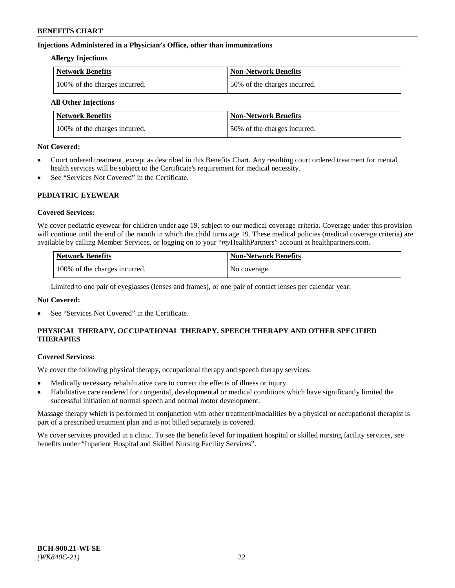### **Injections Administered in a Physician's Office, other than immunizations**

#### **Allergy Injections**

| Network Benefits              | <b>Non-Network Benefits</b>  |
|-------------------------------|------------------------------|
| 100% of the charges incurred. | 50% of the charges incurred. |

## **All Other Injections**

| <b>Network Benefits</b>       | <b>Non-Network Benefits</b>  |
|-------------------------------|------------------------------|
| 100% of the charges incurred. | 50% of the charges incurred. |

### **Not Covered:**

- Court ordered treatment, except as described in this Benefits Chart. Any resulting court ordered treatment for mental health services will be subject to the Certificate's requirement for medical necessity.
- See "Services Not Covered" in the Certificate.

### **PEDIATRIC EYEWEAR**

### **Covered Services:**

We cover pediatric eyewear for children under age 19, subject to our medical coverage criteria. Coverage under this provision will continue until the end of the month in which the child turns age 19. These medical policies (medical coverage criteria) are available by calling Member Services, or logging on to your "*my*HealthPartners" account a[t healthpartners.com.](https://www.healthpartners.com/hp/index.html)

| Network Benefits              | <b>Non-Network Benefits</b> |
|-------------------------------|-----------------------------|
| 100% of the charges incurred. | No coverage.                |

Limited to one pair of eyeglasses (lenses and frames), or one pair of contact lenses per calendar year.

### **Not Covered:**

See "Services Not Covered" in the Certificate.

## **PHYSICAL THERAPY, OCCUPATIONAL THERAPY, SPEECH THERAPY AND OTHER SPECIFIED THERAPIES**

#### **Covered Services:**

We cover the following physical therapy, occupational therapy and speech therapy services:

- Medically necessary rehabilitative care to correct the effects of illness or injury.
- Habilitative care rendered for congenital, developmental or medical conditions which have significantly limited the successful initiation of normal speech and normal motor development.

Massage therapy which is performed in conjunction with other treatment/modalities by a physical or occupational therapist is part of a prescribed treatment plan and is not billed separately is covered.

We cover services provided in a clinic. To see the benefit level for inpatient hospital or skilled nursing facility services, see benefits under "Inpatient Hospital and Skilled Nursing Facility Services".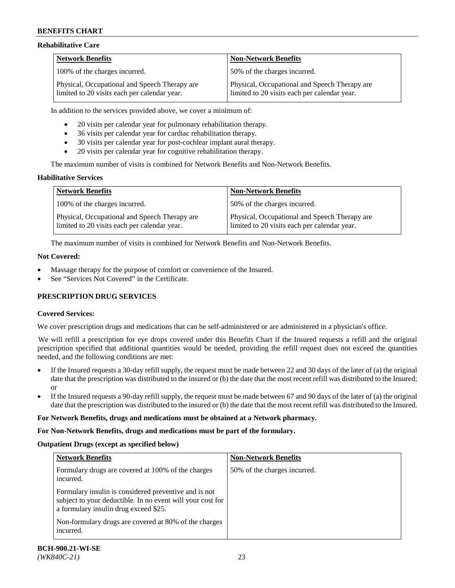### **Rehabilitative Care**

| <b>Network Benefits</b>                                                                       | <b>Non-Network Benefits</b>                                                                   |
|-----------------------------------------------------------------------------------------------|-----------------------------------------------------------------------------------------------|
| 100% of the charges incurred.                                                                 | 50% of the charges incurred.                                                                  |
| Physical, Occupational and Speech Therapy are<br>limited to 20 visits each per calendar year. | Physical, Occupational and Speech Therapy are<br>limited to 20 visits each per calendar year. |

In addition to the services provided above, we cover a minimum of:

- 20 visits per calendar year for pulmonary rehabilitation therapy.
- 36 visits per calendar year for cardiac rehabilitation therapy.
- 30 visits per calendar year for post-cochlear implant aural therapy.
- 20 visits per calendar year for cognitive rehabilitation therapy.

The maximum number of visits is combined for Network Benefits and Non-Network Benefits.

### **Habilitative Services**

| <b>Network Benefits</b>                                                                       | <b>Non-Network Benefits</b>                                                                   |
|-----------------------------------------------------------------------------------------------|-----------------------------------------------------------------------------------------------|
| 100% of the charges incurred.                                                                 | 50% of the charges incurred.                                                                  |
| Physical, Occupational and Speech Therapy are<br>limited to 20 visits each per calendar year. | Physical, Occupational and Speech Therapy are<br>limited to 20 visits each per calendar year. |

The maximum number of visits is combined for Network Benefits and Non-Network Benefits.

### **Not Covered:**

- Massage therapy for the purpose of comfort or convenience of the Insured.
- See "Services Not Covered" in the Certificate.

### **PRESCRIPTION DRUG SERVICES**

### **Covered Services:**

We cover prescription drugs and medications that can be self-administered or are administered in a physician's office.

We will refill a prescription for eye drops covered under this Benefits Chart if the Insured requests a refill and the original prescription specified that additional quantities would be needed, providing the refill request does not exceed the quantities needed, and the following conditions are met:

- If the Insured requests a 30-day refill supply, the request must be made between 22 and 30 days of the later of (a) the original date that the prescription was distributed to the insured or (b) the date that the most recent refill was distributed to the Insured; or
- If the Insured requests a 90-day refill supply, the request must be made between 67 and 90 days of the later of (a) the original date that the prescription was distributed to the insured or (b) the date that the most recent refill was distributed to the Insured.

#### **For Network Benefits, drugs and medications must be obtained at a Network pharmacy.**

#### **For Non-Network Benefits, drugs and medications must be part of the formulary.**

#### **Outpatient Drugs (except as specified below)**

| <b>Network Benefits</b>                                                                                                                                      | <b>Non-Network Benefits</b>  |
|--------------------------------------------------------------------------------------------------------------------------------------------------------------|------------------------------|
| Formulary drugs are covered at 100% of the charges<br>incurred.                                                                                              | 50% of the charges incurred. |
| Formulary insulin is considered preventive and is not<br>subject to your deductible. In no event will your cost for<br>a formulary insulin drug exceed \$25. |                              |
| Non-formulary drugs are covered at 80% of the charges<br>incurred.                                                                                           |                              |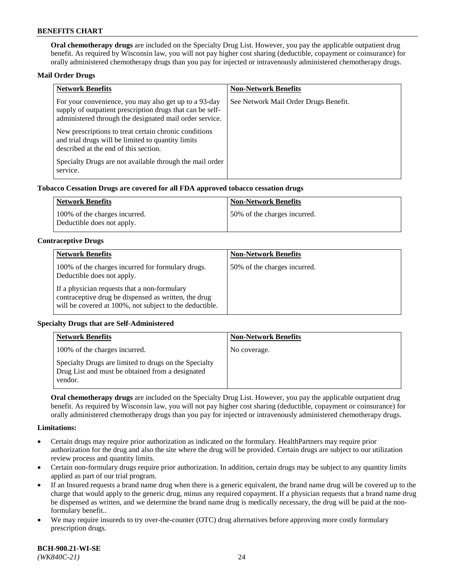**Oral chemotherapy drugs** are included on the Specialty Drug List. However, you pay the applicable outpatient drug benefit. As required by Wisconsin law, you will not pay higher cost sharing (deductible, copayment or coinsurance) for orally administered chemotherapy drugs than you pay for injected or intravenously administered chemotherapy drugs.

### **Mail Order Drugs**

| <b>Network Benefits</b>                                                                                                                                                       | <b>Non-Network Benefits</b>           |
|-------------------------------------------------------------------------------------------------------------------------------------------------------------------------------|---------------------------------------|
| For your convenience, you may also get up to a 93-day<br>supply of outpatient prescription drugs that can be self-<br>administered through the designated mail order service. | See Network Mail Order Drugs Benefit. |
| New prescriptions to treat certain chronic conditions<br>and trial drugs will be limited to quantity limits<br>described at the end of this section.                          |                                       |
| Specialty Drugs are not available through the mail order<br>service.                                                                                                          |                                       |

### **Tobacco Cessation Drugs are covered for all FDA approved tobacco cessation drugs**

| Network Benefits                                            | Non-Network Benefits         |
|-------------------------------------------------------------|------------------------------|
| 100% of the charges incurred.<br>Deductible does not apply. | 50% of the charges incurred. |

### **Contraceptive Drugs**

| <b>Network Benefits</b>                                                                                                                                         | <b>Non-Network Benefits</b>  |
|-----------------------------------------------------------------------------------------------------------------------------------------------------------------|------------------------------|
| 100% of the charges incurred for formulary drugs.<br>Deductible does not apply.                                                                                 | 50% of the charges incurred. |
| If a physician requests that a non-formulary<br>contraceptive drug be dispensed as written, the drug<br>will be covered at 100%, not subject to the deductible. |                              |

### **Specialty Drugs that are Self-Administered**

| <b>Network Benefits</b>                                                                                              | <b>Non-Network Benefits</b> |
|----------------------------------------------------------------------------------------------------------------------|-----------------------------|
| 100% of the charges incurred.                                                                                        | No coverage.                |
| Specialty Drugs are limited to drugs on the Specialty<br>Drug List and must be obtained from a designated<br>vendor. |                             |

**Oral chemotherapy drugs** are included on the Specialty Drug List. However, you pay the applicable outpatient drug benefit. As required by Wisconsin law, you will not pay higher cost sharing (deductible, copayment or coinsurance) for orally administered chemotherapy drugs than you pay for injected or intravenously administered chemotherapy drugs.

#### **Limitations:**

- Certain drugs may require prior authorization as indicated on the formulary. HealthPartners may require prior authorization for the drug and also the site where the drug will be provided. Certain drugs are subject to our utilization review process and quantity limits.
- Certain non-formulary drugs require prior authorization. In addition, certain drugs may be subject to any quantity limits applied as part of our trial program.
- If an Insured requests a brand name drug when there is a generic equivalent, the brand name drug will be covered up to the charge that would apply to the generic drug, minus any required copayment. If a physician requests that a brand name drug be dispensed as written, and we determine the brand name drug is medically necessary, the drug will be paid at the nonformulary benefit..
- We may require insureds to try over-the-counter (OTC) drug alternatives before approving more costly formulary prescription drugs.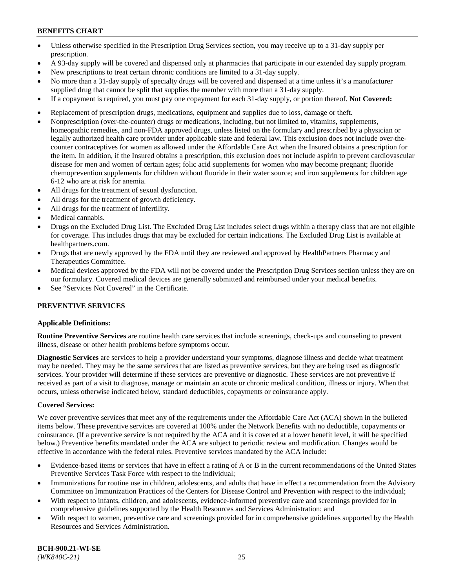- Unless otherwise specified in the Prescription Drug Services section, you may receive up to a 31-day supply per prescription.
- A 93-day supply will be covered and dispensed only at pharmacies that participate in our extended day supply program.
- New prescriptions to treat certain chronic conditions are limited to a 31-day supply.
- No more than a 31-day supply of specialty drugs will be covered and dispensed at a time unless it's a manufacturer supplied drug that cannot be split that supplies the member with more than a 31-day supply.
- If a copayment is required, you must pay one copayment for each 31-day supply, or portion thereof. **Not Covered:**
- Replacement of prescription drugs, medications, equipment and supplies due to loss, damage or theft.
- Nonprescription (over-the-counter) drugs or medications, including, but not limited to, vitamins, supplements, homeopathic remedies, and non-FDA approved drugs, unless listed on the formulary and prescribed by a physician or legally authorized health care provider under applicable state and federal law. This exclusion does not include over-thecounter contraceptives for women as allowed under the Affordable Care Act when the Insured obtains a prescription for the item. In addition, if the Insured obtains a prescription, this exclusion does not include aspirin to prevent cardiovascular disease for men and women of certain ages; folic acid supplements for women who may become pregnant; fluoride chemoprevention supplements for children without fluoride in their water source; and iron supplements for children age 6-12 who are at risk for anemia.
- All drugs for the treatment of sexual dysfunction.
- All drugs for the treatment of growth deficiency.
- All drugs for the treatment of infertility.
- Medical cannabis.
- Drugs on the Excluded Drug List. The Excluded Drug List includes select drugs within a therapy class that are not eligible for coverage. This includes drugs that may be excluded for certain indications. The Excluded Drug List is available at [healthpartners.com.](http://www.healthpartners.com/)
- Drugs that are newly approved by the FDA until they are reviewed and approved by HealthPartners Pharmacy and Therapeutics Committee.
- Medical devices approved by the FDA will not be covered under the Prescription Drug Services section unless they are on our formulary. Covered medical devices are generally submitted and reimbursed under your medical benefits.
- See "Services Not Covered" in the Certificate.

### **PREVENTIVE SERVICES**

### **Applicable Definitions:**

**Routine Preventive Services** are routine health care services that include screenings, check-ups and counseling to prevent illness, disease or other health problems before symptoms occur.

**Diagnostic Services** are services to help a provider understand your symptoms, diagnose illness and decide what treatment may be needed. They may be the same services that are listed as preventive services, but they are being used as diagnostic services. Your provider will determine if these services are preventive or diagnostic. These services are not preventive if received as part of a visit to diagnose, manage or maintain an acute or chronic medical condition, illness or injury. When that occurs, unless otherwise indicated below, standard deductibles, copayments or coinsurance apply.

### **Covered Services:**

We cover preventive services that meet any of the requirements under the Affordable Care Act (ACA) shown in the bulleted items below. These preventive services are covered at 100% under the Network Benefits with no deductible, copayments or coinsurance. (If a preventive service is not required by the ACA and it is covered at a lower benefit level, it will be specified below.) Preventive benefits mandated under the ACA are subject to periodic review and modification. Changes would be effective in accordance with the federal rules. Preventive services mandated by the ACA include:

- Evidence-based items or services that have in effect a rating of A or B in the current recommendations of the United States Preventive Services Task Force with respect to the individual;
- Immunizations for routine use in children, adolescents, and adults that have in effect a recommendation from the Advisory Committee on Immunization Practices of the Centers for Disease Control and Prevention with respect to the individual;
- With respect to infants, children, and adolescents, evidence-informed preventive care and screenings provided for in comprehensive guidelines supported by the Health Resources and Services Administration; and
- With respect to women, preventive care and screenings provided for in comprehensive guidelines supported by the Health Resources and Services Administration.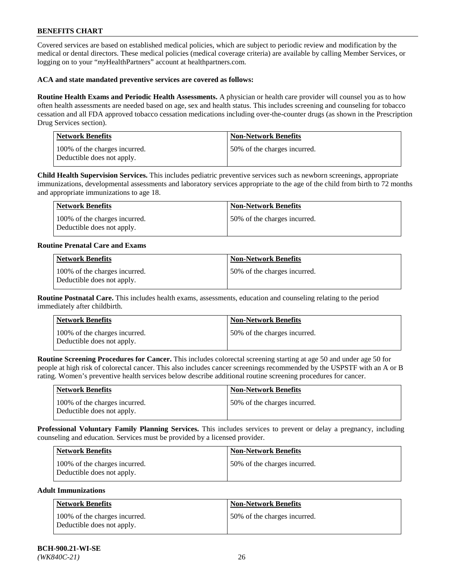Covered services are based on established medical policies, which are subject to periodic review and modification by the medical or dental directors. These medical policies (medical coverage criteria) are available by calling Member Services, or logging on to your "*my*HealthPartners" account at [healthpartners.com.](https://www.healthpartners.com/hp/index.html)

### **ACA and state mandated preventive services are covered as follows:**

**Routine Health Exams and Periodic Health Assessments.** A physician or health care provider will counsel you as to how often health assessments are needed based on age, sex and health status. This includes screening and counseling for tobacco cessation and all FDA approved tobacco cessation medications including over-the-counter drugs (as shown in the Prescription Drug Services section).

| <b>Network Benefits</b>                                     | <b>Non-Network Benefits</b>  |
|-------------------------------------------------------------|------------------------------|
| 100% of the charges incurred.<br>Deductible does not apply. | 50% of the charges incurred. |

**Child Health Supervision Services.** This includes pediatric preventive services such as newborn screenings, appropriate immunizations, developmental assessments and laboratory services appropriate to the age of the child from birth to 72 months and appropriate immunizations to age 18.

| Network Benefits                                            | Non-Network Benefits         |
|-------------------------------------------------------------|------------------------------|
| 100% of the charges incurred.<br>Deductible does not apply. | 50% of the charges incurred. |

### **Routine Prenatal Care and Exams**

| <b>Network Benefits</b>                                     | <b>Non-Network Benefits</b>  |
|-------------------------------------------------------------|------------------------------|
| 100% of the charges incurred.<br>Deductible does not apply. | 50% of the charges incurred. |

**Routine Postnatal Care.** This includes health exams, assessments, education and counseling relating to the period immediately after childbirth.

| Network Benefits                                            | <b>Non-Network Benefits</b>  |
|-------------------------------------------------------------|------------------------------|
| 100% of the charges incurred.<br>Deductible does not apply. | 50% of the charges incurred. |

**Routine Screening Procedures for Cancer.** This includes colorectal screening starting at age 50 and under age 50 for people at high risk of colorectal cancer. This also includes cancer screenings recommended by the USPSTF with an A or B rating. Women's preventive health services below describe additional routine screening procedures for cancer.

| Network Benefits                                            | <b>Non-Network Benefits</b>  |
|-------------------------------------------------------------|------------------------------|
| 100% of the charges incurred.<br>Deductible does not apply. | 50% of the charges incurred. |

**Professional Voluntary Family Planning Services.** This includes services to prevent or delay a pregnancy, including counseling and education. Services must be provided by a licensed provider.

| <b>Network Benefits</b>                                     | <b>Non-Network Benefits</b>  |
|-------------------------------------------------------------|------------------------------|
| 100% of the charges incurred.<br>Deductible does not apply. | 50% of the charges incurred. |

#### **Adult Immunizations**

| Network Benefits                                            | <b>Non-Network Benefits</b>  |
|-------------------------------------------------------------|------------------------------|
| 100% of the charges incurred.<br>Deductible does not apply. | 50% of the charges incurred. |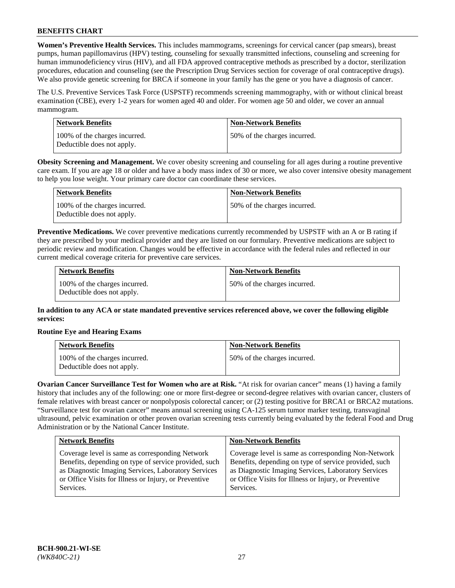**Women's Preventive Health Services.** This includes mammograms, screenings for cervical cancer (pap smears), breast pumps, human papillomavirus (HPV) testing, counseling for sexually transmitted infections, counseling and screening for human immunodeficiency virus (HIV), and all FDA approved contraceptive methods as prescribed by a doctor, sterilization procedures, education and counseling (see the Prescription Drug Services section for coverage of oral contraceptive drugs). We also provide genetic screening for BRCA if someone in your family has the gene or you have a diagnosis of cancer.

The U.S. Preventive Services Task Force (USPSTF) recommends screening mammography, with or without clinical breast examination (CBE), every 1-2 years for women aged 40 and older. For women age 50 and older, we cover an annual mammogram.

| Network Benefits                                            | <b>Non-Network Benefits</b>  |
|-------------------------------------------------------------|------------------------------|
| 100% of the charges incurred.<br>Deductible does not apply. | 50% of the charges incurred. |

**Obesity Screening and Management.** We cover obesity screening and counseling for all ages during a routine preventive care exam. If you are age 18 or older and have a body mass index of 30 or more, we also cover intensive obesity management to help you lose weight. Your primary care doctor can coordinate these services.

| Network Benefits                                            | <b>Non-Network Benefits</b>  |
|-------------------------------------------------------------|------------------------------|
| 100% of the charges incurred.<br>Deductible does not apply. | 50% of the charges incurred. |

**Preventive Medications.** We cover preventive medications currently recommended by USPSTF with an A or B rating if they are prescribed by your medical provider and they are listed on our formulary. Preventive medications are subject to periodic review and modification. Changes would be effective in accordance with the federal rules and reflected in our current medical coverage criteria for preventive care services.

| <b>Network Benefits</b>                                     | <b>Non-Network Benefits</b>  |
|-------------------------------------------------------------|------------------------------|
| 100% of the charges incurred.<br>Deductible does not apply. | 50% of the charges incurred. |

**In addition to any ACA or state mandated preventive services referenced above, we cover the following eligible services:**

### **Routine Eye and Hearing Exams**

| <b>Network Benefits</b>                                     | <b>Non-Network Benefits</b>  |
|-------------------------------------------------------------|------------------------------|
| 100% of the charges incurred.<br>Deductible does not apply. | 50% of the charges incurred. |

**Ovarian Cancer Surveillance Test for Women who are at Risk.** "At risk for ovarian cancer" means (1) having a family history that includes any of the following: one or more first-degree or second-degree relatives with ovarian cancer, clusters of female relatives with breast cancer or nonpolyposis colorectal cancer; or (2) testing positive for BRCA1 or BRCA2 mutations. "Surveillance test for ovarian cancer" means annual screening using CA-125 serum tumor marker testing, transvaginal ultrasound, pelvic examination or other proven ovarian screening tests currently being evaluated by the federal Food and Drug Administration or by the National Cancer Institute.

| <b>Network Benefits</b>                               | <b>Non-Network Benefits</b>                           |
|-------------------------------------------------------|-------------------------------------------------------|
| Coverage level is same as corresponding Network       | Coverage level is same as corresponding Non-Network   |
| Benefits, depending on type of service provided, such | Benefits, depending on type of service provided, such |
| as Diagnostic Imaging Services, Laboratory Services   | as Diagnostic Imaging Services, Laboratory Services   |
| or Office Visits for Illness or Injury, or Preventive | or Office Visits for Illness or Injury, or Preventive |
| Services.                                             | Services.                                             |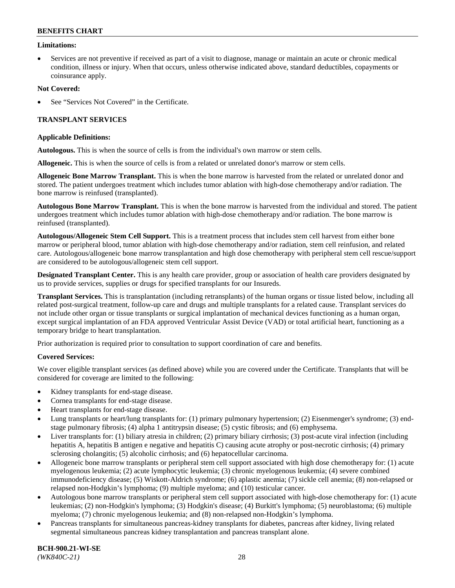### **Limitations:**

• Services are not preventive if received as part of a visit to diagnose, manage or maintain an acute or chronic medical condition, illness or injury. When that occurs, unless otherwise indicated above, standard deductibles, copayments or coinsurance apply.

### **Not Covered:**

See "Services Not Covered" in the Certificate.

### **TRANSPLANT SERVICES**

#### **Applicable Definitions:**

**Autologous.** This is when the source of cells is from the individual's own marrow or stem cells.

**Allogeneic.** This is when the source of cells is from a related or unrelated donor's marrow or stem cells.

**Allogeneic Bone Marrow Transplant.** This is when the bone marrow is harvested from the related or unrelated donor and stored. The patient undergoes treatment which includes tumor ablation with high-dose chemotherapy and/or radiation. The bone marrow is reinfused (transplanted).

**Autologous Bone Marrow Transplant.** This is when the bone marrow is harvested from the individual and stored. The patient undergoes treatment which includes tumor ablation with high-dose chemotherapy and/or radiation. The bone marrow is reinfused (transplanted).

**Autologous/Allogeneic Stem Cell Support.** This is a treatment process that includes stem cell harvest from either bone marrow or peripheral blood, tumor ablation with high-dose chemotherapy and/or radiation, stem cell reinfusion, and related care. Autologous/allogeneic bone marrow transplantation and high dose chemotherapy with peripheral stem cell rescue/support are considered to be autologous/allogeneic stem cell support.

**Designated Transplant Center.** This is any health care provider, group or association of health care providers designated by us to provide services, supplies or drugs for specified transplants for our Insureds.

**Transplant Services.** This is transplantation (including retransplants) of the human organs or tissue listed below, including all related post-surgical treatment, follow-up care and drugs and multiple transplants for a related cause. Transplant services do not include other organ or tissue transplants or surgical implantation of mechanical devices functioning as a human organ, except surgical implantation of an FDA approved Ventricular Assist Device (VAD) or total artificial heart, functioning as a temporary bridge to heart transplantation.

Prior authorization is required prior to consultation to support coordination of care and benefits.

#### **Covered Services:**

We cover eligible transplant services (as defined above) while you are covered under the Certificate. Transplants that will be considered for coverage are limited to the following:

- Kidney transplants for end-stage disease.
- Cornea transplants for end-stage disease.
- Heart transplants for end-stage disease.
- Lung transplants or heart/lung transplants for: (1) primary pulmonary hypertension; (2) Eisenmenger's syndrome; (3) endstage pulmonary fibrosis; (4) alpha 1 antitrypsin disease; (5) cystic fibrosis; and (6) emphysema.
- Liver transplants for: (1) biliary atresia in children; (2) primary biliary cirrhosis; (3) post-acute viral infection (including hepatitis A, hepatitis B antigen e negative and hepatitis C) causing acute atrophy or post-necrotic cirrhosis; (4) primary sclerosing cholangitis; (5) alcoholic cirrhosis; and (6) hepatocellular carcinoma.
- Allogeneic bone marrow transplants or peripheral stem cell support associated with high dose chemotherapy for: (1) acute myelogenous leukemia; (2) acute lymphocytic leukemia; (3) chronic myelogenous leukemia; (4) severe combined immunodeficiency disease; (5) Wiskott-Aldrich syndrome; (6) aplastic anemia; (7) sickle cell anemia; (8) non-relapsed or relapsed non-Hodgkin's lymphoma; (9) multiple myeloma; and (10) testicular cancer.
- Autologous bone marrow transplants or peripheral stem cell support associated with high-dose chemotherapy for: (1) acute leukemias; (2) non-Hodgkin's lymphoma; (3) Hodgkin's disease; (4) Burkitt's lymphoma; (5) neuroblastoma; (6) multiple myeloma; (7) chronic myelogenous leukemia; and (8) non-relapsed non-Hodgkin's lymphoma.
- Pancreas transplants for simultaneous pancreas-kidney transplants for diabetes, pancreas after kidney, living related segmental simultaneous pancreas kidney transplantation and pancreas transplant alone.